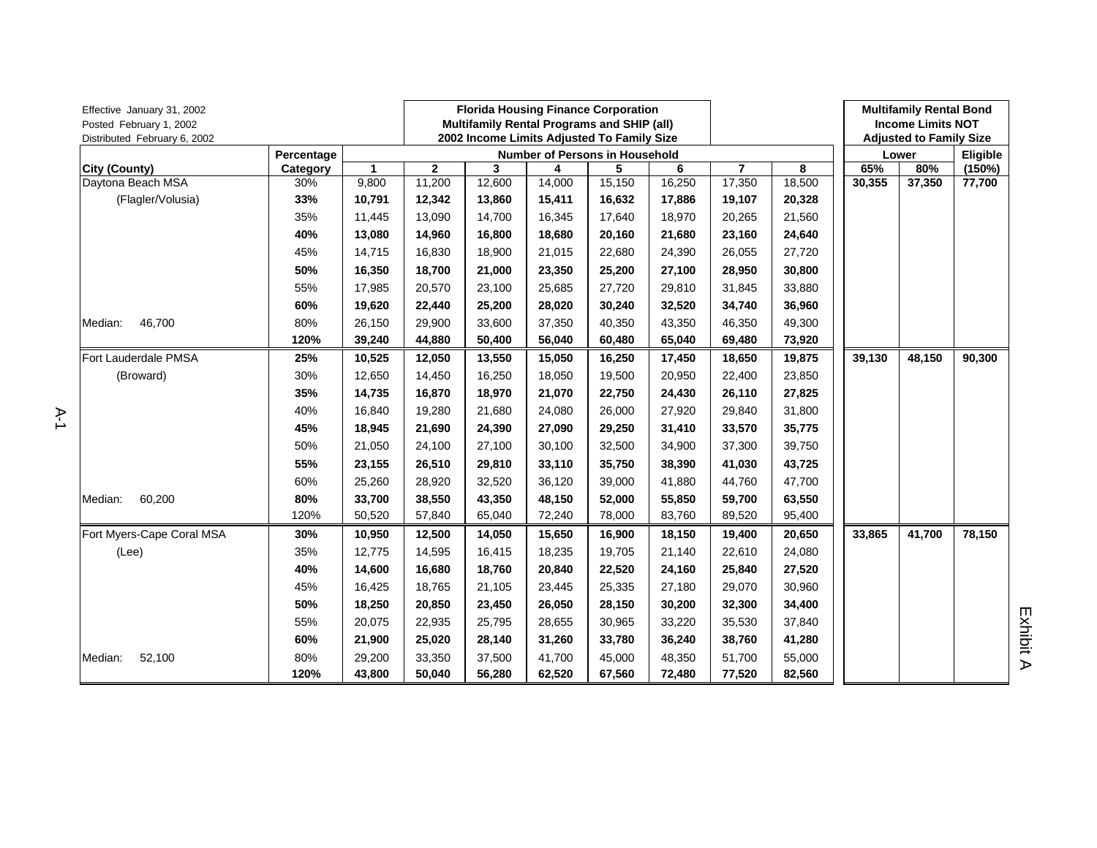| Effective January 31, 2002<br>Posted February 1, 2002<br>Distributed February 6, 2002 |            |              | <b>Florida Housing Finance Corporation</b><br>Multifamily Rental Programs and SHIP (all)<br>2002 Income Limits Adjusted To Family Size |        |                                |        |        |                |        | <b>Multifamily Rental Bond</b><br><b>Income Limits NOT</b><br><b>Adjusted to Family Size</b> |        |          |
|---------------------------------------------------------------------------------------|------------|--------------|----------------------------------------------------------------------------------------------------------------------------------------|--------|--------------------------------|--------|--------|----------------|--------|----------------------------------------------------------------------------------------------|--------|----------|
|                                                                                       | Percentage |              |                                                                                                                                        |        | Number of Persons in Household |        |        |                |        |                                                                                              | Lower  | Eligible |
| <b>City (County)</b>                                                                  | Category   | $\mathbf{1}$ | $\overline{2}$                                                                                                                         | 3      | 4                              | 5      | 6      | $\overline{7}$ | 8      | 65%                                                                                          | 80%    | (150%)   |
| Daytona Beach MSA                                                                     | 30%        | 9,800        | 11,200                                                                                                                                 | 12,600 | 14,000                         | 15,150 | 16,250 | 17,350         | 18,500 | 30,355                                                                                       | 37,350 | 77,700   |
| (Flagler/Volusia)                                                                     | 33%        | 10,791       | 12,342                                                                                                                                 | 13,860 | 15,411                         | 16,632 | 17,886 | 19,107         | 20,328 |                                                                                              |        |          |
|                                                                                       | 35%        | 11,445       | 13,090                                                                                                                                 | 14,700 | 16,345                         | 17,640 | 18,970 | 20,265         | 21,560 |                                                                                              |        |          |
|                                                                                       | 40%        | 13,080       | 14,960                                                                                                                                 | 16,800 | 18,680                         | 20,160 | 21,680 | 23,160         | 24,640 |                                                                                              |        |          |
|                                                                                       | 45%        | 14,715       | 16,830                                                                                                                                 | 18,900 | 21,015                         | 22,680 | 24,390 | 26,055         | 27,720 |                                                                                              |        |          |
|                                                                                       | 50%        | 16,350       | 18,700                                                                                                                                 | 21,000 | 23,350                         | 25,200 | 27,100 | 28,950         | 30,800 |                                                                                              |        |          |
|                                                                                       | 55%        | 17,985       | 20,570                                                                                                                                 | 23,100 | 25,685                         | 27,720 | 29,810 | 31,845         | 33,880 |                                                                                              |        |          |
|                                                                                       | 60%        | 19,620       | 22,440                                                                                                                                 | 25,200 | 28,020                         | 30,240 | 32,520 | 34,740         | 36,960 |                                                                                              |        |          |
| 46,700<br>Median:                                                                     | 80%        | 26,150       | 29,900                                                                                                                                 | 33,600 | 37,350                         | 40,350 | 43,350 | 46,350         | 49,300 |                                                                                              |        |          |
|                                                                                       | 120%       | 39,240       | 44,880                                                                                                                                 | 50,400 | 56,040                         | 60,480 | 65,040 | 69,480         | 73,920 |                                                                                              |        |          |
| Fort Lauderdale PMSA                                                                  | 25%        | 10,525       | 12,050                                                                                                                                 | 13,550 | 15,050                         | 16,250 | 17,450 | 18,650         | 19,875 | 39,130                                                                                       | 48,150 | 90,300   |
| (Broward)                                                                             | 30%        | 12,650       | 14,450                                                                                                                                 | 16,250 | 18,050                         | 19,500 | 20,950 | 22,400         | 23,850 |                                                                                              |        |          |
|                                                                                       | 35%        | 14,735       | 16,870                                                                                                                                 | 18,970 | 21,070                         | 22,750 | 24,430 | 26,110         | 27,825 |                                                                                              |        |          |
|                                                                                       | 40%        | 16,840       | 19,280                                                                                                                                 | 21,680 | 24,080                         | 26,000 | 27,920 | 29,840         | 31,800 |                                                                                              |        |          |
|                                                                                       | 45%        | 18,945       | 21,690                                                                                                                                 | 24,390 | 27,090                         | 29,250 | 31,410 | 33,570         | 35,775 |                                                                                              |        |          |
|                                                                                       | 50%        | 21,050       | 24,100                                                                                                                                 | 27,100 | 30,100                         | 32,500 | 34,900 | 37,300         | 39,750 |                                                                                              |        |          |
|                                                                                       | 55%        | 23,155       | 26,510                                                                                                                                 | 29,810 | 33,110                         | 35,750 | 38,390 | 41,030         | 43,725 |                                                                                              |        |          |
|                                                                                       | 60%        | 25,260       | 28,920                                                                                                                                 | 32,520 | 36,120                         | 39,000 | 41,880 | 44,760         | 47,700 |                                                                                              |        |          |
| 60,200<br>Median:                                                                     | 80%        | 33,700       | 38,550                                                                                                                                 | 43,350 | 48,150                         | 52,000 | 55,850 | 59,700         | 63,550 |                                                                                              |        |          |
|                                                                                       | 120%       | 50,520       | 57,840                                                                                                                                 | 65,040 | 72,240                         | 78,000 | 83,760 | 89,520         | 95,400 |                                                                                              |        |          |
| Fort Myers-Cape Coral MSA                                                             | 30%        | 10,950       | 12,500                                                                                                                                 | 14,050 | 15,650                         | 16,900 | 18,150 | 19,400         | 20,650 | 33,865                                                                                       | 41,700 | 78,150   |
| (Lee)                                                                                 | 35%        | 12,775       | 14,595                                                                                                                                 | 16,415 | 18,235                         | 19,705 | 21,140 | 22,610         | 24,080 |                                                                                              |        |          |
|                                                                                       | 40%        | 14,600       | 16,680                                                                                                                                 | 18,760 | 20,840                         | 22,520 | 24,160 | 25,840         | 27,520 |                                                                                              |        |          |
|                                                                                       | 45%        | 16,425       | 18,765                                                                                                                                 | 21,105 | 23,445                         | 25,335 | 27,180 | 29,070         | 30,960 |                                                                                              |        |          |
|                                                                                       | 50%        | 18,250       | 20,850                                                                                                                                 | 23,450 | 26,050                         | 28,150 | 30,200 | 32,300         | 34,400 |                                                                                              |        |          |
|                                                                                       | 55%        | 20,075       | 22,935                                                                                                                                 | 25,795 | 28,655                         | 30,965 | 33,220 | 35,530         | 37,840 |                                                                                              |        |          |
|                                                                                       | 60%        | 21,900       | 25,020                                                                                                                                 | 28,140 | 31,260                         | 33,780 | 36,240 | 38,760         | 41,280 |                                                                                              |        |          |
| 52,100<br>Median:                                                                     | 80%        | 29,200       | 33,350                                                                                                                                 | 37,500 | 41,700                         | 45,000 | 48,350 | 51,700         | 55,000 |                                                                                              |        |          |
|                                                                                       | 120%       | 43,800       | 50,040                                                                                                                                 | 56,280 | 62,520                         | 67,560 | 72,480 | 77,520         | 82,560 |                                                                                              |        |          |
|                                                                                       |            |              |                                                                                                                                        |        |                                |        |        |                |        |                                                                                              |        |          |

A-1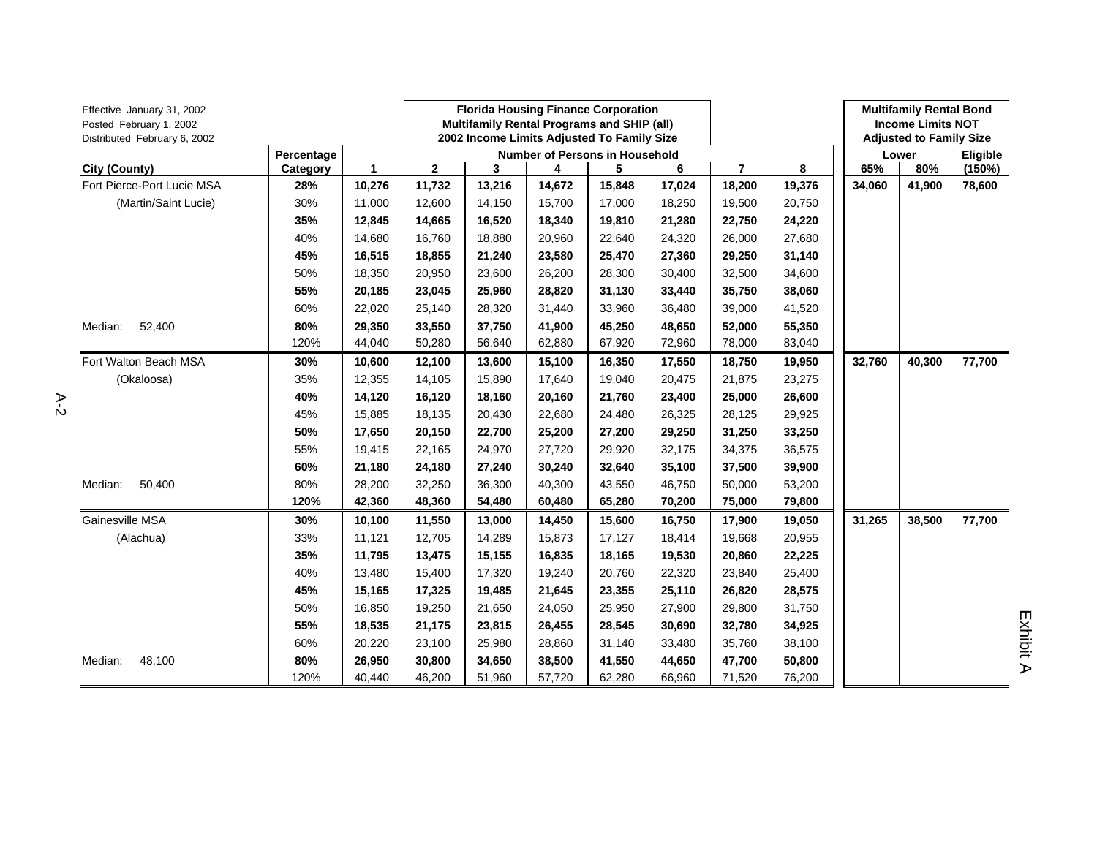| Effective January 31, 2002<br>Posted February 1, 2002<br>Distributed February 6, 2002 |            |                      | <b>Florida Housing Finance Corporation</b><br>Multifamily Rental Programs and SHIP (all)<br>2002 Income Limits Adjusted To Family Size |        |        |                                       |        |                |        | <b>Multifamily Rental Bond</b><br><b>Income Limits NOT</b><br><b>Adjusted to Family Size</b> |        |          |
|---------------------------------------------------------------------------------------|------------|----------------------|----------------------------------------------------------------------------------------------------------------------------------------|--------|--------|---------------------------------------|--------|----------------|--------|----------------------------------------------------------------------------------------------|--------|----------|
|                                                                                       | Percentage |                      |                                                                                                                                        |        |        | <b>Number of Persons in Household</b> |        |                |        |                                                                                              | Lower  | Eligible |
| <b>City (County)</b>                                                                  | Category   | $\blacktriangleleft$ | $\mathbf{2}$                                                                                                                           | 3      | 4      | 5                                     | 6      | $\overline{7}$ | 8      | 65%                                                                                          | 80%    | (150%)   |
| Fort Pierce-Port Lucie MSA                                                            | 28%        | 10,276               | 11,732                                                                                                                                 | 13,216 | 14,672 | 15,848                                | 17,024 | 18,200         | 19,376 | 34,060                                                                                       | 41,900 | 78,600   |
| (Martin/Saint Lucie)                                                                  | 30%        | 11,000               | 12,600                                                                                                                                 | 14,150 | 15,700 | 17,000                                | 18,250 | 19,500         | 20,750 |                                                                                              |        |          |
|                                                                                       | 35%        | 12,845               | 14,665                                                                                                                                 | 16,520 | 18,340 | 19,810                                | 21,280 | 22,750         | 24,220 |                                                                                              |        |          |
|                                                                                       | 40%        | 14,680               | 16,760                                                                                                                                 | 18,880 | 20,960 | 22,640                                | 24,320 | 26,000         | 27,680 |                                                                                              |        |          |
|                                                                                       | 45%        | 16,515               | 18,855                                                                                                                                 | 21,240 | 23,580 | 25,470                                | 27,360 | 29,250         | 31,140 |                                                                                              |        |          |
|                                                                                       | 50%        | 18,350               | 20,950                                                                                                                                 | 23,600 | 26,200 | 28,300                                | 30,400 | 32,500         | 34,600 |                                                                                              |        |          |
|                                                                                       | 55%        | 20,185               | 23,045                                                                                                                                 | 25,960 | 28,820 | 31,130                                | 33,440 | 35,750         | 38,060 |                                                                                              |        |          |
|                                                                                       | 60%        | 22,020               | 25,140                                                                                                                                 | 28,320 | 31,440 | 33,960                                | 36,480 | 39,000         | 41,520 |                                                                                              |        |          |
| 52,400<br>Median:                                                                     | 80%        | 29,350               | 33,550                                                                                                                                 | 37,750 | 41,900 | 45,250                                | 48,650 | 52,000         | 55,350 |                                                                                              |        |          |
|                                                                                       | 120%       | 44,040               | 50,280                                                                                                                                 | 56,640 | 62,880 | 67,920                                | 72,960 | 78,000         | 83,040 |                                                                                              |        |          |
| Fort Walton Beach MSA                                                                 | 30%        | 10,600               | 12,100                                                                                                                                 | 13,600 | 15,100 | 16,350                                | 17,550 | 18,750         | 19,950 | 32,760                                                                                       | 40,300 | 77,700   |
| (Okaloosa)                                                                            | 35%        | 12,355               | 14,105                                                                                                                                 | 15,890 | 17,640 | 19,040                                | 20,475 | 21,875         | 23,275 |                                                                                              |        |          |
|                                                                                       | 40%        | 14,120               | 16,120                                                                                                                                 | 18,160 | 20,160 | 21,760                                | 23,400 | 25,000         | 26,600 |                                                                                              |        |          |
|                                                                                       | 45%        | 15,885               | 18,135                                                                                                                                 | 20,430 | 22,680 | 24,480                                | 26,325 | 28,125         | 29,925 |                                                                                              |        |          |
|                                                                                       | 50%        | 17,650               | 20,150                                                                                                                                 | 22,700 | 25,200 | 27,200                                | 29,250 | 31,250         | 33,250 |                                                                                              |        |          |
|                                                                                       | 55%        | 19,415               | 22,165                                                                                                                                 | 24,970 | 27,720 | 29,920                                | 32,175 | 34,375         | 36,575 |                                                                                              |        |          |
|                                                                                       | 60%        | 21,180               | 24,180                                                                                                                                 | 27,240 | 30,240 | 32,640                                | 35,100 | 37,500         | 39,900 |                                                                                              |        |          |
| 50,400<br>Median:                                                                     | 80%        | 28,200               | 32,250                                                                                                                                 | 36,300 | 40,300 | 43,550                                | 46,750 | 50,000         | 53,200 |                                                                                              |        |          |
|                                                                                       | 120%       | 42,360               | 48,360                                                                                                                                 | 54,480 | 60,480 | 65,280                                | 70,200 | 75,000         | 79,800 |                                                                                              |        |          |
| Gainesville MSA                                                                       | 30%        | 10,100               | 11,550                                                                                                                                 | 13,000 | 14,450 | 15,600                                | 16,750 | 17,900         | 19,050 | 31,265                                                                                       | 38,500 | 77,700   |
| (Alachua)                                                                             | 33%        | 11,121               | 12,705                                                                                                                                 | 14,289 | 15,873 | 17,127                                | 18,414 | 19,668         | 20,955 |                                                                                              |        |          |
|                                                                                       | 35%        | 11,795               | 13,475                                                                                                                                 | 15,155 | 16,835 | 18,165                                | 19,530 | 20,860         | 22,225 |                                                                                              |        |          |
|                                                                                       | 40%        | 13,480               | 15,400                                                                                                                                 | 17,320 | 19,240 | 20,760                                | 22,320 | 23,840         | 25,400 |                                                                                              |        |          |
|                                                                                       | 45%        | 15,165               | 17,325                                                                                                                                 | 19,485 | 21,645 | 23,355                                | 25,110 | 26,820         | 28,575 |                                                                                              |        |          |
|                                                                                       | 50%        | 16,850               | 19,250                                                                                                                                 | 21,650 | 24,050 | 25,950                                | 27,900 | 29,800         | 31,750 |                                                                                              |        |          |
|                                                                                       | 55%        | 18,535               | 21,175                                                                                                                                 | 23,815 | 26,455 | 28,545                                | 30,690 | 32,780         | 34,925 |                                                                                              |        |          |
|                                                                                       | 60%        | 20,220               | 23,100                                                                                                                                 | 25,980 | 28,860 | 31,140                                | 33,480 | 35,760         | 38,100 |                                                                                              |        |          |
| Median:<br>48,100                                                                     | 80%        | 26,950               | 30,800                                                                                                                                 | 34,650 | 38,500 | 41,550                                | 44,650 | 47,700         | 50,800 |                                                                                              |        |          |
|                                                                                       | 120%       | 40,440               | 46,200                                                                                                                                 | 51,960 | 57,720 | 62,280                                | 66,960 | 71,520         | 76,200 |                                                                                              |        |          |

A-2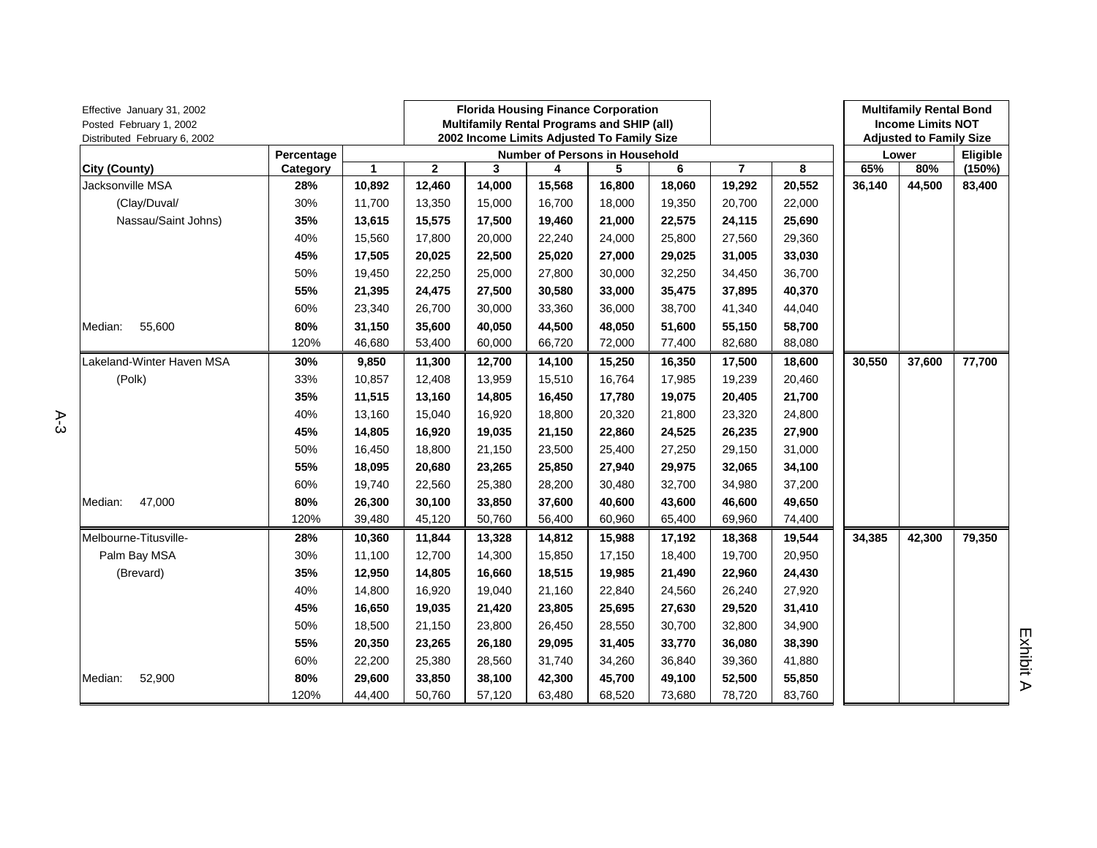| Effective January 31, 2002<br>Posted February 1, 2002<br>Distributed February 6, 2002 |            |        | <b>Florida Housing Finance Corporation</b><br><b>Multifamily Rental Programs and SHIP (all)</b><br>2002 Income Limits Adjusted To Family Size |        |        |                                |        |                |        | <b>Multifamily Rental Bond</b><br><b>Income Limits NOT</b><br><b>Adjusted to Family Size</b> |        |          |
|---------------------------------------------------------------------------------------|------------|--------|-----------------------------------------------------------------------------------------------------------------------------------------------|--------|--------|--------------------------------|--------|----------------|--------|----------------------------------------------------------------------------------------------|--------|----------|
|                                                                                       | Percentage |        |                                                                                                                                               |        |        | Number of Persons in Household |        |                |        |                                                                                              | Lower  | Eligible |
| City (County)                                                                         | Category   | 1      | $\mathbf{2}$                                                                                                                                  | 3      | 4      | 5                              | 6      | $\overline{7}$ | 8      | 65%                                                                                          | 80%    | (150%)   |
| Jacksonville MSA                                                                      | 28%        | 10,892 | 12,460                                                                                                                                        | 14,000 | 15,568 | 16,800                         | 18,060 | 19,292         | 20,552 | 36,140                                                                                       | 44,500 | 83,400   |
| (Clay/Duval/                                                                          | 30%        | 11,700 | 13,350                                                                                                                                        | 15,000 | 16,700 | 18,000                         | 19,350 | 20,700         | 22,000 |                                                                                              |        |          |
| Nassau/Saint Johns)                                                                   | 35%        | 13,615 | 15,575                                                                                                                                        | 17,500 | 19,460 | 21,000                         | 22,575 | 24,115         | 25,690 |                                                                                              |        |          |
|                                                                                       | 40%        | 15,560 | 17,800                                                                                                                                        | 20,000 | 22,240 | 24,000                         | 25,800 | 27,560         | 29,360 |                                                                                              |        |          |
|                                                                                       | 45%        | 17,505 | 20,025                                                                                                                                        | 22,500 | 25,020 | 27,000                         | 29,025 | 31,005         | 33,030 |                                                                                              |        |          |
|                                                                                       | 50%        | 19,450 | 22,250                                                                                                                                        | 25,000 | 27,800 | 30,000                         | 32,250 | 34,450         | 36,700 |                                                                                              |        |          |
|                                                                                       | 55%        | 21,395 | 24,475                                                                                                                                        | 27,500 | 30,580 | 33,000                         | 35,475 | 37,895         | 40,370 |                                                                                              |        |          |
|                                                                                       | 60%        | 23,340 | 26,700                                                                                                                                        | 30,000 | 33,360 | 36,000                         | 38,700 | 41,340         | 44,040 |                                                                                              |        |          |
| 55,600<br>Median:                                                                     | 80%        | 31,150 | 35,600                                                                                                                                        | 40,050 | 44,500 | 48,050                         | 51,600 | 55,150         | 58,700 |                                                                                              |        |          |
|                                                                                       | 120%       | 46,680 | 53,400                                                                                                                                        | 60,000 | 66,720 | 72,000                         | 77,400 | 82,680         | 88,080 |                                                                                              |        |          |
| Lakeland-Winter Haven MSA                                                             | 30%        | 9,850  | 11,300                                                                                                                                        | 12,700 | 14,100 | 15,250                         | 16,350 | 17,500         | 18,600 | 30,550                                                                                       | 37,600 | 77,700   |
| (Polk)                                                                                | 33%        | 10,857 | 12,408                                                                                                                                        | 13,959 | 15,510 | 16,764                         | 17,985 | 19,239         | 20,460 |                                                                                              |        |          |
|                                                                                       | 35%        | 11,515 | 13,160                                                                                                                                        | 14,805 | 16,450 | 17,780                         | 19,075 | 20,405         | 21,700 |                                                                                              |        |          |
|                                                                                       | 40%        | 13,160 | 15,040                                                                                                                                        | 16,920 | 18,800 | 20,320                         | 21,800 | 23,320         | 24,800 |                                                                                              |        |          |
|                                                                                       | 45%        | 14,805 | 16,920                                                                                                                                        | 19,035 | 21,150 | 22,860                         | 24,525 | 26,235         | 27,900 |                                                                                              |        |          |
|                                                                                       | 50%        | 16,450 | 18,800                                                                                                                                        | 21,150 | 23,500 | 25,400                         | 27,250 | 29,150         | 31,000 |                                                                                              |        |          |
|                                                                                       | 55%        | 18,095 | 20,680                                                                                                                                        | 23,265 | 25,850 | 27,940                         | 29,975 | 32,065         | 34,100 |                                                                                              |        |          |
|                                                                                       | 60%        | 19,740 | 22,560                                                                                                                                        | 25,380 | 28,200 | 30,480                         | 32,700 | 34,980         | 37,200 |                                                                                              |        |          |
| 47,000<br>Median:                                                                     | 80%        | 26,300 | 30,100                                                                                                                                        | 33,850 | 37,600 | 40,600                         | 43,600 | 46,600         | 49,650 |                                                                                              |        |          |
|                                                                                       | 120%       | 39,480 | 45,120                                                                                                                                        | 50,760 | 56,400 | 60,960                         | 65,400 | 69,960         | 74,400 |                                                                                              |        |          |
| Melbourne-Titusville-                                                                 | 28%        | 10,360 | 11,844                                                                                                                                        | 13,328 | 14,812 | 15,988                         | 17,192 | 18,368         | 19,544 | 34,385                                                                                       | 42,300 | 79,350   |
| Palm Bay MSA                                                                          | 30%        | 11,100 | 12,700                                                                                                                                        | 14,300 | 15,850 | 17,150                         | 18,400 | 19,700         | 20,950 |                                                                                              |        |          |
| (Brevard)                                                                             | 35%        | 12,950 | 14,805                                                                                                                                        | 16,660 | 18,515 | 19,985                         | 21,490 | 22,960         | 24,430 |                                                                                              |        |          |
|                                                                                       | 40%        | 14,800 | 16,920                                                                                                                                        | 19,040 | 21,160 | 22,840                         | 24,560 | 26,240         | 27,920 |                                                                                              |        |          |
|                                                                                       | 45%        | 16,650 | 19,035                                                                                                                                        | 21,420 | 23,805 | 25,695                         | 27,630 | 29,520         | 31,410 |                                                                                              |        |          |
|                                                                                       | 50%        | 18,500 | 21,150                                                                                                                                        | 23,800 | 26,450 | 28,550                         | 30,700 | 32,800         | 34,900 |                                                                                              |        |          |
|                                                                                       | 55%        | 20,350 | 23,265                                                                                                                                        | 26,180 | 29,095 | 31,405                         | 33,770 | 36,080         | 38,390 |                                                                                              |        |          |
|                                                                                       | 60%        | 22,200 | 25,380                                                                                                                                        | 28,560 | 31,740 | 34,260                         | 36,840 | 39,360         | 41,880 |                                                                                              |        |          |
| 52,900<br>Median:                                                                     | 80%        | 29,600 | 33,850                                                                                                                                        | 38,100 | 42,300 | 45,700                         | 49,100 | 52,500         | 55,850 |                                                                                              |        |          |
|                                                                                       | 120%       | 44,400 | 50,760                                                                                                                                        | 57,120 | 63,480 | 68,520                         | 73,680 | 78,720         | 83,760 |                                                                                              |        |          |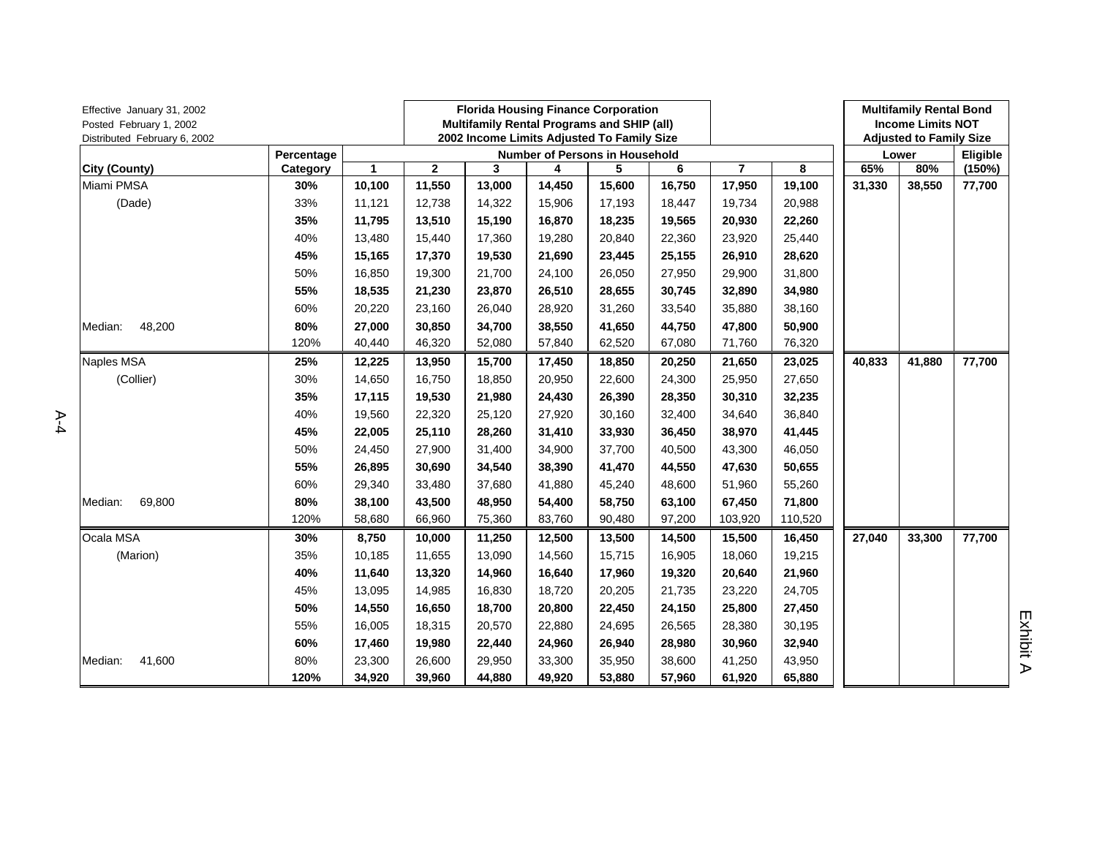| Effective January 31, 2002<br>Posted February 1, 2002<br>Distributed February 6, 2002 |            |              | <b>Florida Housing Finance Corporation</b><br>Multifamily Rental Programs and SHIP (all)<br>2002 Income Limits Adjusted To Family Size |        |        |                                       |        |                |         | <b>Multifamily Rental Bond</b><br><b>Income Limits NOT</b><br><b>Adjusted to Family Size</b> |        |          |
|---------------------------------------------------------------------------------------|------------|--------------|----------------------------------------------------------------------------------------------------------------------------------------|--------|--------|---------------------------------------|--------|----------------|---------|----------------------------------------------------------------------------------------------|--------|----------|
|                                                                                       | Percentage |              |                                                                                                                                        |        |        | <b>Number of Persons in Household</b> |        |                |         |                                                                                              | Lower  | Eligible |
| <b>City (County)</b>                                                                  | Category   | $\mathbf{1}$ | $\mathbf 2$                                                                                                                            | 3      | 4      | 5                                     | 6      | $\overline{7}$ | 8       | 65%                                                                                          | 80%    | (150%)   |
| Miami PMSA                                                                            | 30%        | 10,100       | 11,550                                                                                                                                 | 13,000 | 14,450 | 15,600                                | 16,750 | 17,950         | 19,100  | 31,330                                                                                       | 38,550 | 77,700   |
| (Dade)                                                                                | 33%        | 11,121       | 12,738                                                                                                                                 | 14,322 | 15,906 | 17,193                                | 18,447 | 19,734         | 20,988  |                                                                                              |        |          |
|                                                                                       | 35%        | 11,795       | 13,510                                                                                                                                 | 15,190 | 16,870 | 18,235                                | 19,565 | 20,930         | 22,260  |                                                                                              |        |          |
|                                                                                       | 40%        | 13,480       | 15,440                                                                                                                                 | 17,360 | 19,280 | 20,840                                | 22,360 | 23,920         | 25,440  |                                                                                              |        |          |
|                                                                                       | 45%        | 15,165       | 17,370                                                                                                                                 | 19,530 | 21,690 | 23,445                                | 25,155 | 26,910         | 28,620  |                                                                                              |        |          |
|                                                                                       | 50%        | 16,850       | 19,300                                                                                                                                 | 21,700 | 24,100 | 26,050                                | 27,950 | 29,900         | 31,800  |                                                                                              |        |          |
|                                                                                       | 55%        | 18,535       | 21,230                                                                                                                                 | 23,870 | 26,510 | 28,655                                | 30,745 | 32,890         | 34,980  |                                                                                              |        |          |
|                                                                                       | 60%        | 20,220       | 23,160                                                                                                                                 | 26,040 | 28,920 | 31,260                                | 33,540 | 35,880         | 38,160  |                                                                                              |        |          |
| 48,200<br>Median:                                                                     | 80%        | 27,000       | 30,850                                                                                                                                 | 34,700 | 38,550 | 41,650                                | 44,750 | 47,800         | 50,900  |                                                                                              |        |          |
|                                                                                       | 120%       | 40,440       | 46,320                                                                                                                                 | 52,080 | 57,840 | 62,520                                | 67,080 | 71,760         | 76,320  |                                                                                              |        |          |
| Naples MSA                                                                            | 25%        | 12,225       | 13,950                                                                                                                                 | 15,700 | 17,450 | 18,850                                | 20,250 | 21,650         | 23,025  | 40,833                                                                                       | 41,880 | 77,700   |
| (Collier)                                                                             | 30%        | 14,650       | 16,750                                                                                                                                 | 18,850 | 20,950 | 22,600                                | 24,300 | 25,950         | 27,650  |                                                                                              |        |          |
|                                                                                       | 35%        | 17,115       | 19,530                                                                                                                                 | 21,980 | 24,430 | 26,390                                | 28,350 | 30,310         | 32,235  |                                                                                              |        |          |
|                                                                                       | 40%        | 19,560       | 22,320                                                                                                                                 | 25,120 | 27,920 | 30,160                                | 32,400 | 34,640         | 36,840  |                                                                                              |        |          |
|                                                                                       | 45%        | 22,005       | 25,110                                                                                                                                 | 28,260 | 31,410 | 33,930                                | 36,450 | 38,970         | 41,445  |                                                                                              |        |          |
|                                                                                       | 50%        | 24,450       | 27,900                                                                                                                                 | 31,400 | 34,900 | 37,700                                | 40,500 | 43,300         | 46,050  |                                                                                              |        |          |
|                                                                                       | 55%        | 26,895       | 30,690                                                                                                                                 | 34,540 | 38,390 | 41,470                                | 44,550 | 47,630         | 50,655  |                                                                                              |        |          |
|                                                                                       | 60%        | 29,340       | 33,480                                                                                                                                 | 37,680 | 41,880 | 45,240                                | 48,600 | 51,960         | 55,260  |                                                                                              |        |          |
| Median:<br>69,800                                                                     | 80%        | 38,100       | 43,500                                                                                                                                 | 48,950 | 54,400 | 58,750                                | 63,100 | 67,450         | 71,800  |                                                                                              |        |          |
|                                                                                       | 120%       | 58,680       | 66,960                                                                                                                                 | 75,360 | 83,760 | 90,480                                | 97,200 | 103,920        | 110,520 |                                                                                              |        |          |
| Ocala MSA                                                                             | 30%        | 8,750        | 10,000                                                                                                                                 | 11,250 | 12,500 | 13,500                                | 14,500 | 15,500         | 16,450  | 27,040                                                                                       | 33,300 | 77,700   |
| (Marion)                                                                              | 35%        | 10,185       | 11,655                                                                                                                                 | 13,090 | 14,560 | 15,715                                | 16,905 | 18,060         | 19,215  |                                                                                              |        |          |
|                                                                                       | 40%        | 11,640       | 13,320                                                                                                                                 | 14,960 | 16,640 | 17,960                                | 19,320 | 20,640         | 21,960  |                                                                                              |        |          |
|                                                                                       | 45%        | 13,095       | 14,985                                                                                                                                 | 16,830 | 18,720 | 20,205                                | 21,735 | 23,220         | 24,705  |                                                                                              |        |          |
|                                                                                       | 50%        | 14,550       | 16,650                                                                                                                                 | 18,700 | 20,800 | 22,450                                | 24,150 | 25,800         | 27,450  |                                                                                              |        |          |
|                                                                                       | 55%        | 16,005       | 18,315                                                                                                                                 | 20,570 | 22,880 | 24,695                                | 26,565 | 28,380         | 30,195  |                                                                                              |        |          |
|                                                                                       | 60%        | 17,460       | 19,980                                                                                                                                 | 22,440 | 24,960 | 26,940                                | 28,980 | 30,960         | 32,940  |                                                                                              |        |          |
| 41,600<br>Median:                                                                     | 80%        | 23,300       | 26,600                                                                                                                                 | 29,950 | 33,300 | 35,950                                | 38,600 | 41,250         | 43,950  |                                                                                              |        |          |
|                                                                                       | 120%       | 34,920       | 39,960                                                                                                                                 | 44,880 | 49,920 | 53,880                                | 57,960 | 61,920         | 65,880  |                                                                                              |        |          |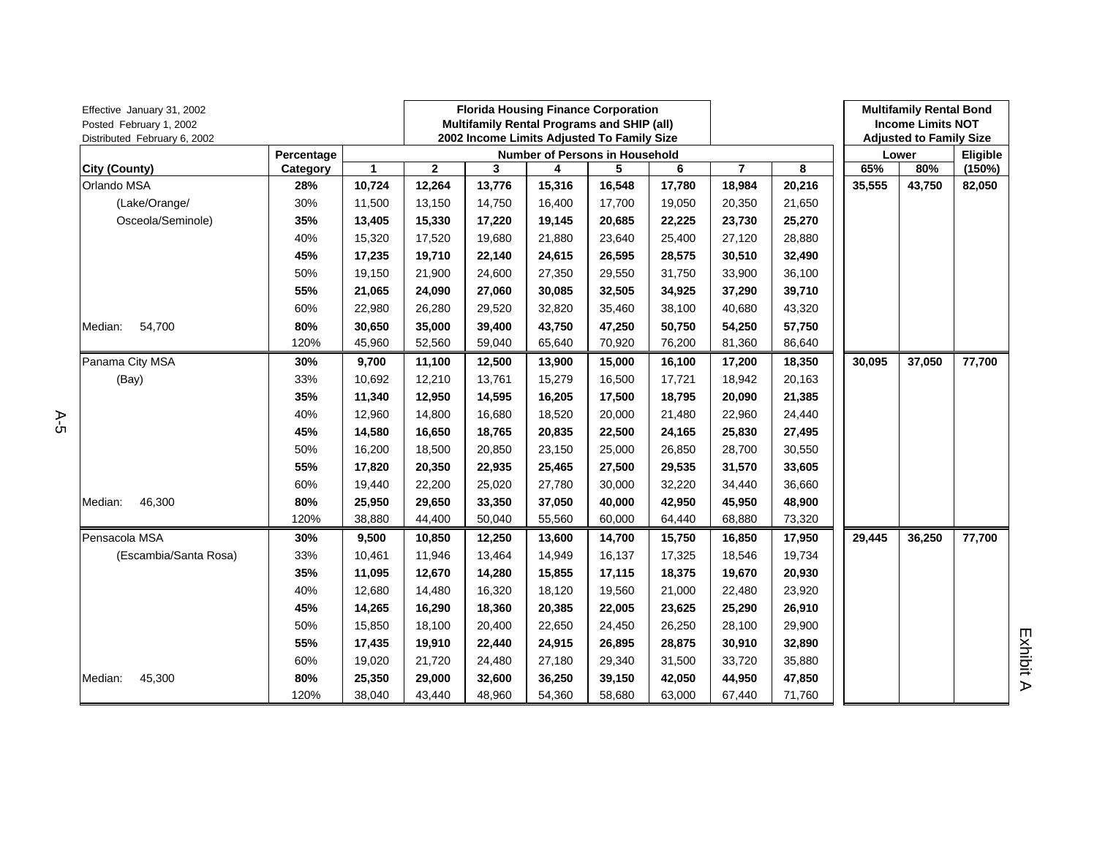| Effective January 31, 2002<br>Posted February 1, 2002<br>Distributed February 6, 2002 |            |        | <b>Florida Housing Finance Corporation</b><br><b>Multifamily Rental Programs and SHIP (all)</b><br>2002 Income Limits Adjusted To Family Size |        |                                |        |        |                |        | <b>Multifamily Rental Bond</b><br><b>Income Limits NOT</b><br><b>Adjusted to Family Size</b> |        |          |
|---------------------------------------------------------------------------------------|------------|--------|-----------------------------------------------------------------------------------------------------------------------------------------------|--------|--------------------------------|--------|--------|----------------|--------|----------------------------------------------------------------------------------------------|--------|----------|
|                                                                                       | Percentage |        |                                                                                                                                               |        | Number of Persons in Household |        |        |                |        |                                                                                              | Lower  | Eligible |
| City (County)                                                                         | Category   | 1      | $\mathbf{2}$                                                                                                                                  | 3      | 4                              | 5      | 6      | $\overline{7}$ | 8      | 65%                                                                                          | 80%    | (150%)   |
| Orlando MSA                                                                           | 28%        | 10,724 | 12,264                                                                                                                                        | 13,776 | 15,316                         | 16,548 | 17,780 | 18,984         | 20,216 | 35,555                                                                                       | 43,750 | 82,050   |
| (Lake/Orange/                                                                         | 30%        | 11,500 | 13,150                                                                                                                                        | 14,750 | 16,400                         | 17,700 | 19,050 | 20,350         | 21,650 |                                                                                              |        |          |
| Osceola/Seminole)                                                                     | 35%        | 13,405 | 15,330                                                                                                                                        | 17,220 | 19,145                         | 20,685 | 22,225 | 23,730         | 25,270 |                                                                                              |        |          |
|                                                                                       | 40%        | 15,320 | 17,520                                                                                                                                        | 19,680 | 21,880                         | 23,640 | 25,400 | 27,120         | 28,880 |                                                                                              |        |          |
|                                                                                       | 45%        | 17,235 | 19,710                                                                                                                                        | 22,140 | 24,615                         | 26,595 | 28,575 | 30,510         | 32,490 |                                                                                              |        |          |
|                                                                                       | 50%        | 19,150 | 21,900                                                                                                                                        | 24,600 | 27,350                         | 29,550 | 31,750 | 33,900         | 36,100 |                                                                                              |        |          |
|                                                                                       | 55%        | 21,065 | 24,090                                                                                                                                        | 27,060 | 30,085                         | 32,505 | 34,925 | 37,290         | 39,710 |                                                                                              |        |          |
|                                                                                       | 60%        | 22,980 | 26,280                                                                                                                                        | 29,520 | 32,820                         | 35,460 | 38,100 | 40,680         | 43,320 |                                                                                              |        |          |
| 54,700<br>Median:                                                                     | 80%        | 30,650 | 35,000                                                                                                                                        | 39,400 | 43,750                         | 47,250 | 50,750 | 54,250         | 57,750 |                                                                                              |        |          |
|                                                                                       | 120%       | 45,960 | 52,560                                                                                                                                        | 59,040 | 65,640                         | 70,920 | 76,200 | 81,360         | 86,640 |                                                                                              |        |          |
| Panama City MSA                                                                       | 30%        | 9,700  | 11,100                                                                                                                                        | 12,500 | 13,900                         | 15,000 | 16,100 | 17,200         | 18,350 | 30,095                                                                                       | 37,050 | 77,700   |
| (Bay)                                                                                 | 33%        | 10,692 | 12,210                                                                                                                                        | 13,761 | 15,279                         | 16,500 | 17,721 | 18,942         | 20,163 |                                                                                              |        |          |
|                                                                                       | 35%        | 11,340 | 12,950                                                                                                                                        | 14,595 | 16,205                         | 17,500 | 18,795 | 20,090         | 21,385 |                                                                                              |        |          |
|                                                                                       | 40%        | 12,960 | 14,800                                                                                                                                        | 16,680 | 18,520                         | 20,000 | 21,480 | 22,960         | 24,440 |                                                                                              |        |          |
|                                                                                       | 45%        | 14,580 | 16,650                                                                                                                                        | 18,765 | 20,835                         | 22,500 | 24,165 | 25,830         | 27,495 |                                                                                              |        |          |
|                                                                                       | 50%        | 16,200 | 18,500                                                                                                                                        | 20,850 | 23,150                         | 25,000 | 26,850 | 28,700         | 30,550 |                                                                                              |        |          |
|                                                                                       | 55%        | 17,820 | 20,350                                                                                                                                        | 22,935 | 25,465                         | 27,500 | 29,535 | 31,570         | 33,605 |                                                                                              |        |          |
|                                                                                       | 60%        | 19,440 | 22,200                                                                                                                                        | 25,020 | 27,780                         | 30,000 | 32,220 | 34,440         | 36,660 |                                                                                              |        |          |
| 46,300<br>Median:                                                                     | 80%        | 25,950 | 29,650                                                                                                                                        | 33,350 | 37,050                         | 40,000 | 42,950 | 45,950         | 48,900 |                                                                                              |        |          |
|                                                                                       | 120%       | 38,880 | 44,400                                                                                                                                        | 50,040 | 55,560                         | 60,000 | 64,440 | 68,880         | 73,320 |                                                                                              |        |          |
| Pensacola MSA                                                                         | 30%        | 9,500  | 10,850                                                                                                                                        | 12,250 | 13,600                         | 14,700 | 15,750 | 16,850         | 17,950 | 29,445                                                                                       | 36,250 | 77,700   |
| (Escambia/Santa Rosa)                                                                 | 33%        | 10,461 | 11,946                                                                                                                                        | 13,464 | 14,949                         | 16,137 | 17,325 | 18,546         | 19,734 |                                                                                              |        |          |
|                                                                                       | 35%        | 11,095 | 12,670                                                                                                                                        | 14,280 | 15,855                         | 17,115 | 18,375 | 19,670         | 20,930 |                                                                                              |        |          |
|                                                                                       | 40%        | 12,680 | 14,480                                                                                                                                        | 16,320 | 18,120                         | 19,560 | 21,000 | 22,480         | 23,920 |                                                                                              |        |          |
|                                                                                       | 45%        | 14,265 | 16,290                                                                                                                                        | 18,360 | 20,385                         | 22,005 | 23,625 | 25,290         | 26,910 |                                                                                              |        |          |
|                                                                                       | 50%        | 15,850 | 18,100                                                                                                                                        | 20,400 | 22,650                         | 24,450 | 26,250 | 28,100         | 29,900 |                                                                                              |        |          |
|                                                                                       | 55%        | 17,435 | 19,910                                                                                                                                        | 22,440 | 24,915                         | 26,895 | 28,875 | 30,910         | 32,890 |                                                                                              |        |          |
|                                                                                       | 60%        | 19,020 | 21,720                                                                                                                                        | 24,480 | 27,180                         | 29,340 | 31,500 | 33,720         | 35,880 |                                                                                              |        |          |
| 45,300<br>Median:                                                                     | 80%        | 25,350 | 29,000                                                                                                                                        | 32,600 | 36,250                         | 39,150 | 42,050 | 44,950         | 47,850 |                                                                                              |        |          |
|                                                                                       | 120%       | 38,040 | 43,440                                                                                                                                        | 48,960 | 54,360                         | 58,680 | 63,000 | 67,440         | 71,760 |                                                                                              |        |          |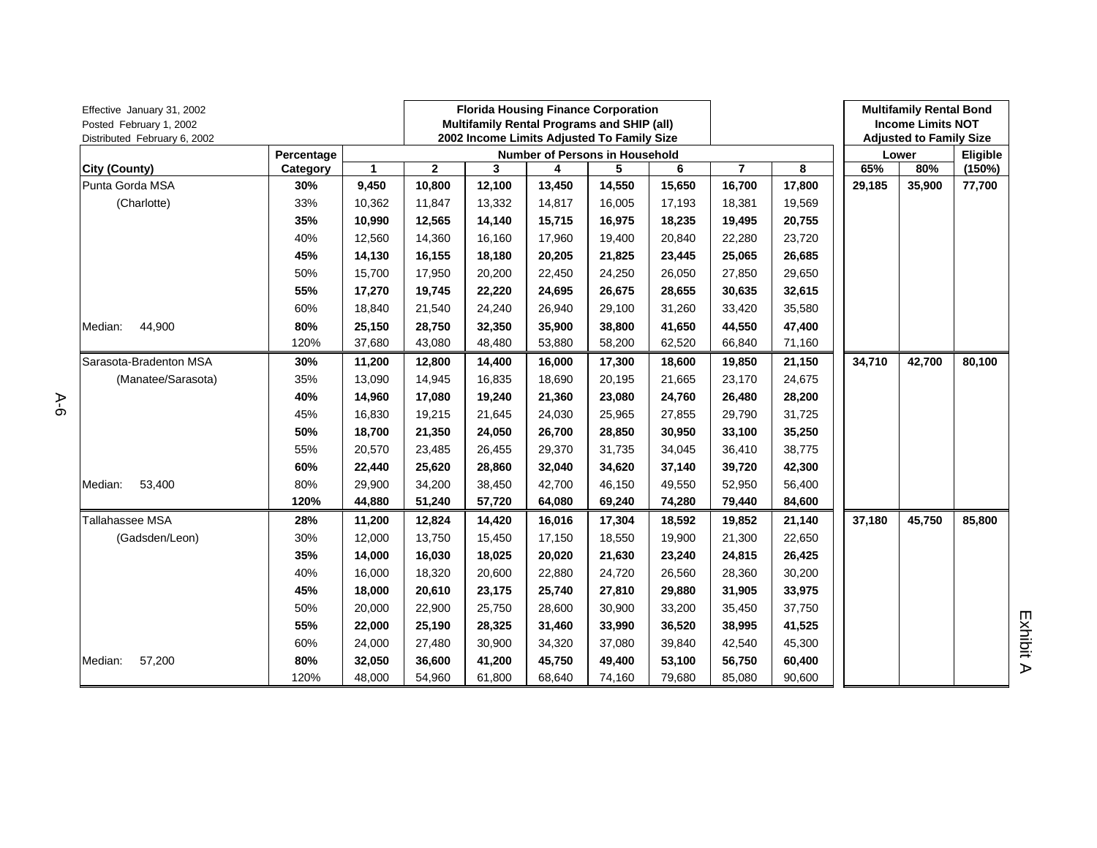| Effective January 31, 2002<br>Posted February 1, 2002<br>Distributed February 6, 2002<br>Percentage |          |              |              | <b>Florida Housing Finance Corporation</b><br>Multifamily Rental Programs and SHIP (all)<br>2002 Income Limits Adjusted To Family Size |        |                                       |        |        |        |        | <b>Multifamily Rental Bond</b><br><b>Income Limits NOT</b><br><b>Adjusted to Family Size</b> |          |
|-----------------------------------------------------------------------------------------------------|----------|--------------|--------------|----------------------------------------------------------------------------------------------------------------------------------------|--------|---------------------------------------|--------|--------|--------|--------|----------------------------------------------------------------------------------------------|----------|
|                                                                                                     |          |              |              |                                                                                                                                        |        | <b>Number of Persons in Household</b> |        |        |        |        | Lower                                                                                        | Eligible |
| <b>City (County)</b>                                                                                | Category | $\mathbf{1}$ | $\mathbf{2}$ | 3                                                                                                                                      | 4      | 5                                     | 6      | 7      | 8      | 65%    | 80%                                                                                          | (150%)   |
| Punta Gorda MSA                                                                                     | 30%      | 9,450        | 10,800       | 12,100                                                                                                                                 | 13,450 | 14,550                                | 15,650 | 16,700 | 17,800 | 29,185 | 35,900                                                                                       | 77,700   |
| (Charlotte)                                                                                         | 33%      | 10,362       | 11,847       | 13,332                                                                                                                                 | 14,817 | 16,005                                | 17,193 | 18,381 | 19,569 |        |                                                                                              |          |
|                                                                                                     | 35%      | 10,990       | 12,565       | 14,140                                                                                                                                 | 15,715 | 16,975                                | 18,235 | 19,495 | 20,755 |        |                                                                                              |          |
|                                                                                                     | 40%      | 12,560       | 14,360       | 16,160                                                                                                                                 | 17,960 | 19,400                                | 20,840 | 22,280 | 23,720 |        |                                                                                              |          |
|                                                                                                     | 45%      | 14,130       | 16,155       | 18,180                                                                                                                                 | 20,205 | 21,825                                | 23,445 | 25,065 | 26,685 |        |                                                                                              |          |
|                                                                                                     | 50%      | 15,700       | 17,950       | 20,200                                                                                                                                 | 22,450 | 24,250                                | 26,050 | 27,850 | 29,650 |        |                                                                                              |          |
|                                                                                                     | 55%      | 17,270       | 19,745       | 22,220                                                                                                                                 | 24,695 | 26,675                                | 28,655 | 30,635 | 32,615 |        |                                                                                              |          |
|                                                                                                     | 60%      | 18,840       | 21,540       | 24,240                                                                                                                                 | 26,940 | 29,100                                | 31,260 | 33,420 | 35,580 |        |                                                                                              |          |
| 44,900<br>Median:                                                                                   | 80%      | 25,150       | 28,750       | 32,350                                                                                                                                 | 35,900 | 38,800                                | 41,650 | 44,550 | 47,400 |        |                                                                                              |          |
|                                                                                                     | 120%     | 37,680       | 43,080       | 48,480                                                                                                                                 | 53,880 | 58,200                                | 62,520 | 66,840 | 71,160 |        |                                                                                              |          |
| Sarasota-Bradenton MSA                                                                              | 30%      | 11,200       | 12,800       | 14,400                                                                                                                                 | 16,000 | 17,300                                | 18,600 | 19,850 | 21,150 | 34,710 | 42,700                                                                                       | 80,100   |
| (Manatee/Sarasota)                                                                                  | 35%      | 13,090       | 14,945       | 16,835                                                                                                                                 | 18,690 | 20,195                                | 21,665 | 23,170 | 24,675 |        |                                                                                              |          |
|                                                                                                     | 40%      | 14,960       | 17,080       | 19,240                                                                                                                                 | 21,360 | 23,080                                | 24,760 | 26,480 | 28,200 |        |                                                                                              |          |
|                                                                                                     | 45%      | 16,830       | 19,215       | 21,645                                                                                                                                 | 24,030 | 25,965                                | 27,855 | 29,790 | 31,725 |        |                                                                                              |          |
|                                                                                                     | 50%      | 18,700       | 21,350       | 24,050                                                                                                                                 | 26,700 | 28,850                                | 30,950 | 33,100 | 35,250 |        |                                                                                              |          |
|                                                                                                     | 55%      | 20,570       | 23,485       | 26,455                                                                                                                                 | 29,370 | 31,735                                | 34,045 | 36,410 | 38,775 |        |                                                                                              |          |
|                                                                                                     | 60%      | 22,440       | 25,620       | 28,860                                                                                                                                 | 32,040 | 34,620                                | 37,140 | 39,720 | 42,300 |        |                                                                                              |          |
| 53,400<br>Median:                                                                                   | 80%      | 29,900       | 34,200       | 38,450                                                                                                                                 | 42,700 | 46,150                                | 49,550 | 52,950 | 56,400 |        |                                                                                              |          |
|                                                                                                     | 120%     | 44,880       | 51,240       | 57,720                                                                                                                                 | 64,080 | 69,240                                | 74,280 | 79,440 | 84,600 |        |                                                                                              |          |
| Tallahassee MSA                                                                                     | 28%      | 11,200       | 12,824       | 14,420                                                                                                                                 | 16,016 | 17,304                                | 18,592 | 19,852 | 21,140 | 37,180 | 45,750                                                                                       | 85,800   |
| (Gadsden/Leon)                                                                                      | 30%      | 12,000       | 13,750       | 15,450                                                                                                                                 | 17,150 | 18,550                                | 19,900 | 21,300 | 22,650 |        |                                                                                              |          |
|                                                                                                     | 35%      | 14,000       | 16,030       | 18,025                                                                                                                                 | 20,020 | 21,630                                | 23,240 | 24,815 | 26,425 |        |                                                                                              |          |
|                                                                                                     | 40%      | 16,000       | 18,320       | 20,600                                                                                                                                 | 22,880 | 24,720                                | 26,560 | 28,360 | 30,200 |        |                                                                                              |          |
|                                                                                                     | 45%      | 18,000       | 20,610       | 23,175                                                                                                                                 | 25,740 | 27,810                                | 29,880 | 31,905 | 33,975 |        |                                                                                              |          |
|                                                                                                     | 50%      | 20,000       | 22,900       | 25,750                                                                                                                                 | 28,600 | 30,900                                | 33,200 | 35,450 | 37,750 |        |                                                                                              |          |
|                                                                                                     | 55%      | 22,000       | 25,190       | 28,325                                                                                                                                 | 31,460 | 33,990                                | 36,520 | 38,995 | 41,525 |        |                                                                                              |          |
|                                                                                                     | 60%      | 24,000       | 27,480       | 30,900                                                                                                                                 | 34,320 | 37,080                                | 39,840 | 42,540 | 45,300 |        |                                                                                              |          |
| Median:<br>57,200                                                                                   | 80%      | 32,050       | 36,600       | 41,200                                                                                                                                 | 45,750 | 49,400                                | 53,100 | 56,750 | 60,400 |        |                                                                                              |          |
|                                                                                                     | 120%     | 48,000       | 54,960       | 61,800                                                                                                                                 | 68,640 | 74,160                                | 79,680 | 85,080 | 90,600 |        |                                                                                              |          |

A-6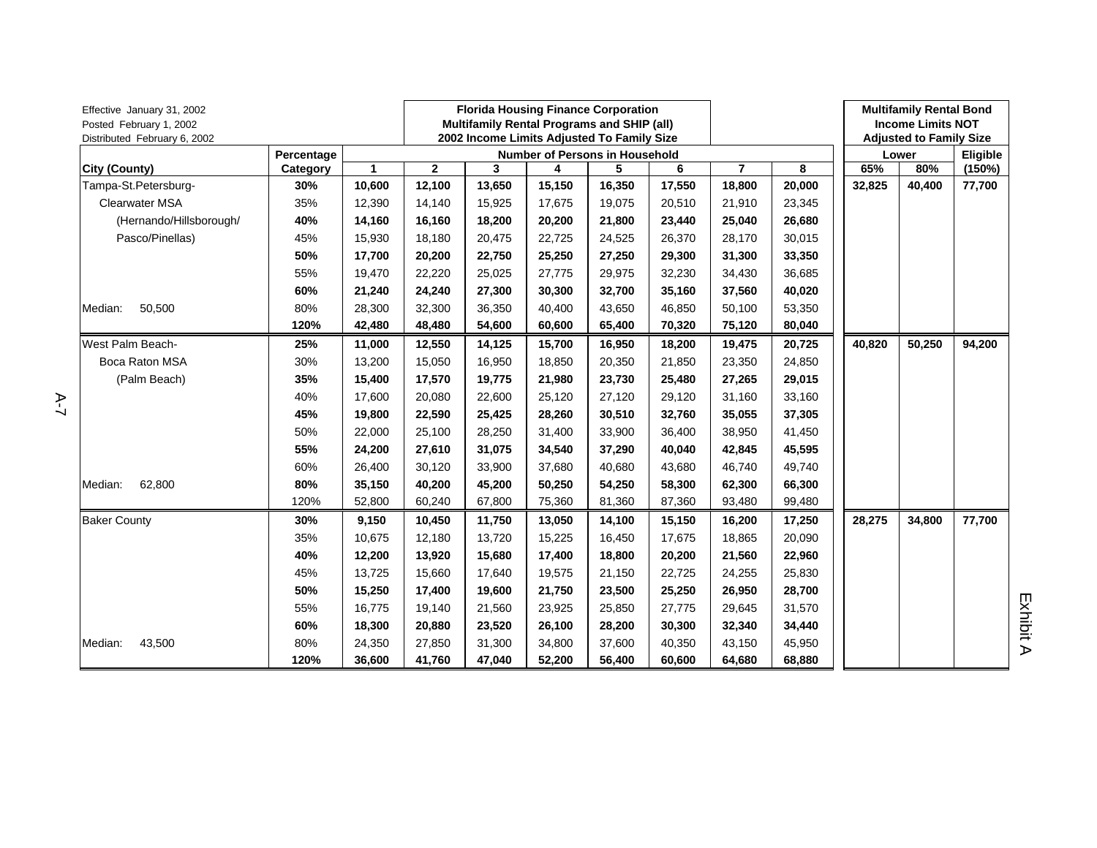| Effective January 31, 2002<br>Posted February 1, 2002<br>Distributed February 6, 2002 |            |        |              |        | <b>Florida Housing Finance Corporation</b><br>Multifamily Rental Programs and SHIP (all)<br>2002 Income Limits Adjusted To Family Size |                                |        |        |        | <b>Multifamily Rental Bond</b><br><b>Income Limits NOT</b><br><b>Adjusted to Family Size</b> |        |          |
|---------------------------------------------------------------------------------------|------------|--------|--------------|--------|----------------------------------------------------------------------------------------------------------------------------------------|--------------------------------|--------|--------|--------|----------------------------------------------------------------------------------------------|--------|----------|
|                                                                                       | Percentage |        |              |        |                                                                                                                                        | Number of Persons in Household |        |        |        |                                                                                              | Lower  | Eligible |
| City (County)                                                                         | Category   | 1      | $\mathbf{2}$ | 3      | 4                                                                                                                                      | 5                              | 6      | 7      | 8      | 65%                                                                                          | 80%    | (150%)   |
| Tampa-St.Petersburg-                                                                  | 30%        | 10,600 | 12,100       | 13,650 | 15,150                                                                                                                                 | 16,350                         | 17,550 | 18,800 | 20,000 | 32,825                                                                                       | 40,400 | 77,700   |
| <b>Clearwater MSA</b>                                                                 | 35%        | 12,390 | 14,140       | 15,925 | 17,675                                                                                                                                 | 19,075                         | 20,510 | 21,910 | 23,345 |                                                                                              |        |          |
| (Hernando/Hillsborough/                                                               | 40%        | 14,160 | 16,160       | 18,200 | 20,200                                                                                                                                 | 21,800                         | 23,440 | 25,040 | 26,680 |                                                                                              |        |          |
| Pasco/Pinellas)                                                                       | 45%        | 15,930 | 18,180       | 20,475 | 22,725                                                                                                                                 | 24,525                         | 26,370 | 28,170 | 30,015 |                                                                                              |        |          |
|                                                                                       | 50%        | 17,700 | 20,200       | 22,750 | 25,250                                                                                                                                 | 27,250                         | 29,300 | 31,300 | 33,350 |                                                                                              |        |          |
|                                                                                       | 55%        | 19,470 | 22,220       | 25,025 | 27,775                                                                                                                                 | 29,975                         | 32,230 | 34,430 | 36,685 |                                                                                              |        |          |
|                                                                                       | 60%        | 21,240 | 24,240       | 27,300 | 30,300                                                                                                                                 | 32,700                         | 35,160 | 37,560 | 40,020 |                                                                                              |        |          |
| 50,500<br>Median:                                                                     | 80%        | 28,300 | 32,300       | 36,350 | 40,400                                                                                                                                 | 43,650                         | 46,850 | 50,100 | 53,350 |                                                                                              |        |          |
|                                                                                       | 120%       | 42,480 | 48,480       | 54,600 | 60,600                                                                                                                                 | 65,400                         | 70,320 | 75,120 | 80,040 |                                                                                              |        |          |
| West Palm Beach-                                                                      | 25%        | 11,000 | 12,550       | 14,125 | 15,700                                                                                                                                 | 16,950                         | 18,200 | 19,475 | 20,725 | 40,820                                                                                       | 50,250 | 94,200   |
| Boca Raton MSA                                                                        | 30%        | 13,200 | 15,050       | 16,950 | 18,850                                                                                                                                 | 20,350                         | 21,850 | 23,350 | 24,850 |                                                                                              |        |          |
| (Palm Beach)                                                                          | 35%        | 15,400 | 17,570       | 19,775 | 21,980                                                                                                                                 | 23,730                         | 25,480 | 27,265 | 29,015 |                                                                                              |        |          |
|                                                                                       | 40%        | 17,600 | 20,080       | 22,600 | 25,120                                                                                                                                 | 27,120                         | 29,120 | 31,160 | 33,160 |                                                                                              |        |          |
|                                                                                       | 45%        | 19,800 | 22,590       | 25,425 | 28,260                                                                                                                                 | 30,510                         | 32,760 | 35,055 | 37,305 |                                                                                              |        |          |
|                                                                                       | 50%        | 22,000 | 25,100       | 28,250 | 31,400                                                                                                                                 | 33,900                         | 36,400 | 38,950 | 41,450 |                                                                                              |        |          |
|                                                                                       | 55%        | 24,200 | 27,610       | 31,075 | 34,540                                                                                                                                 | 37,290                         | 40,040 | 42,845 | 45,595 |                                                                                              |        |          |
|                                                                                       | 60%        | 26,400 | 30,120       | 33,900 | 37,680                                                                                                                                 | 40,680                         | 43,680 | 46,740 | 49,740 |                                                                                              |        |          |
| 62,800<br>Median:                                                                     | 80%        | 35,150 | 40,200       | 45,200 | 50,250                                                                                                                                 | 54,250                         | 58,300 | 62,300 | 66,300 |                                                                                              |        |          |
|                                                                                       | 120%       | 52,800 | 60,240       | 67,800 | 75,360                                                                                                                                 | 81,360                         | 87,360 | 93,480 | 99,480 |                                                                                              |        |          |
| <b>Baker County</b>                                                                   | 30%        | 9,150  | 10,450       | 11,750 | 13,050                                                                                                                                 | 14,100                         | 15,150 | 16,200 | 17,250 | 28,275                                                                                       | 34,800 | 77,700   |
|                                                                                       | 35%        | 10,675 | 12,180       | 13,720 | 15,225                                                                                                                                 | 16,450                         | 17,675 | 18,865 | 20,090 |                                                                                              |        |          |
|                                                                                       | 40%        | 12,200 | 13,920       | 15,680 | 17,400                                                                                                                                 | 18,800                         | 20,200 | 21,560 | 22,960 |                                                                                              |        |          |
|                                                                                       | 45%        | 13,725 | 15,660       | 17,640 | 19,575                                                                                                                                 | 21,150                         | 22,725 | 24,255 | 25,830 |                                                                                              |        |          |
|                                                                                       | 50%        | 15,250 | 17,400       | 19,600 | 21,750                                                                                                                                 | 23,500                         | 25,250 | 26,950 | 28,700 |                                                                                              |        |          |
|                                                                                       | 55%        | 16,775 | 19,140       | 21,560 | 23,925                                                                                                                                 | 25,850                         | 27,775 | 29,645 | 31,570 |                                                                                              |        |          |
|                                                                                       | 60%        | 18,300 | 20,880       | 23,520 | 26,100                                                                                                                                 | 28,200                         | 30,300 | 32,340 | 34,440 |                                                                                              |        |          |
| Median:<br>43,500                                                                     | 80%        | 24,350 | 27,850       | 31,300 | 34,800                                                                                                                                 | 37,600                         | 40,350 | 43,150 | 45,950 |                                                                                              |        |          |
|                                                                                       | 120%       | 36,600 | 41,760       | 47,040 | 52,200                                                                                                                                 | 56,400                         | 60,600 | 64,680 | 68,880 |                                                                                              |        |          |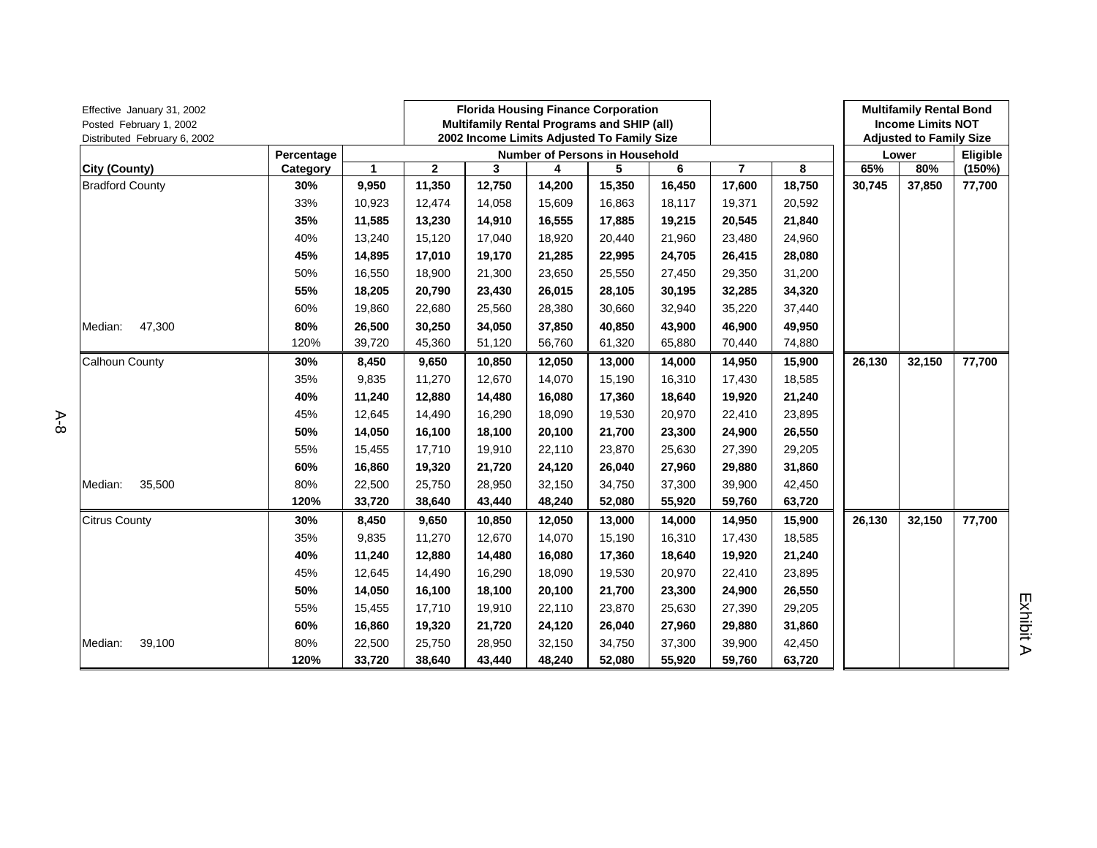| Effective January 31, 2002<br>Posted February 1, 2002<br>Distributed February 6, 2002 |            |        | <b>Florida Housing Finance Corporation</b><br>Multifamily Rental Programs and SHIP (all)<br>2002 Income Limits Adjusted To Family Size |        |        |                                |        |                |        | <b>Multifamily Rental Bond</b><br><b>Income Limits NOT</b><br><b>Adjusted to Family Size</b> |        |          |
|---------------------------------------------------------------------------------------|------------|--------|----------------------------------------------------------------------------------------------------------------------------------------|--------|--------|--------------------------------|--------|----------------|--------|----------------------------------------------------------------------------------------------|--------|----------|
|                                                                                       | Percentage |        |                                                                                                                                        |        |        | Number of Persons in Household |        |                |        |                                                                                              | Lower  | Eligible |
| City (County)                                                                         | Category   | 1      | $\mathbf{2}$                                                                                                                           | 3      | 4      | 5                              | 6      | $\overline{7}$ | 8      | 65%                                                                                          | 80%    | (150%)   |
| <b>Bradford County</b>                                                                | 30%        | 9,950  | 11,350                                                                                                                                 | 12,750 | 14,200 | 15,350                         | 16,450 | 17,600         | 18,750 | 30,745                                                                                       | 37,850 | 77,700   |
|                                                                                       | 33%        | 10,923 | 12,474                                                                                                                                 | 14,058 | 15,609 | 16,863                         | 18,117 | 19,371         | 20,592 |                                                                                              |        |          |
|                                                                                       | 35%        | 11,585 | 13,230                                                                                                                                 | 14,910 | 16,555 | 17,885                         | 19,215 | 20,545         | 21,840 |                                                                                              |        |          |
|                                                                                       | 40%        | 13,240 | 15,120                                                                                                                                 | 17,040 | 18,920 | 20,440                         | 21,960 | 23,480         | 24,960 |                                                                                              |        |          |
|                                                                                       | 45%        | 14,895 | 17,010                                                                                                                                 | 19,170 | 21,285 | 22,995                         | 24,705 | 26,415         | 28,080 |                                                                                              |        |          |
|                                                                                       | 50%        | 16,550 | 18,900                                                                                                                                 | 21,300 | 23,650 | 25,550                         | 27,450 | 29,350         | 31,200 |                                                                                              |        |          |
|                                                                                       | 55%        | 18,205 | 20,790                                                                                                                                 | 23,430 | 26,015 | 28,105                         | 30,195 | 32,285         | 34,320 |                                                                                              |        |          |
|                                                                                       | 60%        | 19,860 | 22,680                                                                                                                                 | 25,560 | 28,380 | 30,660                         | 32,940 | 35,220         | 37,440 |                                                                                              |        |          |
| 47,300<br>Median:                                                                     | 80%        | 26,500 | 30,250                                                                                                                                 | 34,050 | 37,850 | 40,850                         | 43,900 | 46,900         | 49,950 |                                                                                              |        |          |
|                                                                                       | 120%       | 39,720 | 45,360                                                                                                                                 | 51,120 | 56,760 | 61,320                         | 65,880 | 70,440         | 74,880 |                                                                                              |        |          |
| Calhoun County                                                                        | 30%        | 8,450  | 9,650                                                                                                                                  | 10,850 | 12,050 | 13,000                         | 14,000 | 14,950         | 15,900 | 26,130                                                                                       | 32,150 | 77,700   |
|                                                                                       | 35%        | 9,835  | 11,270                                                                                                                                 | 12,670 | 14,070 | 15,190                         | 16,310 | 17,430         | 18,585 |                                                                                              |        |          |
|                                                                                       | 40%        | 11,240 | 12,880                                                                                                                                 | 14,480 | 16,080 | 17,360                         | 18,640 | 19,920         | 21,240 |                                                                                              |        |          |
|                                                                                       | 45%        | 12,645 | 14,490                                                                                                                                 | 16,290 | 18,090 | 19,530                         | 20,970 | 22,410         | 23,895 |                                                                                              |        |          |
|                                                                                       | 50%        | 14,050 | 16,100                                                                                                                                 | 18,100 | 20,100 | 21,700                         | 23,300 | 24,900         | 26,550 |                                                                                              |        |          |
|                                                                                       | 55%        | 15,455 | 17,710                                                                                                                                 | 19,910 | 22,110 | 23,870                         | 25,630 | 27,390         | 29,205 |                                                                                              |        |          |
|                                                                                       | 60%        | 16,860 | 19,320                                                                                                                                 | 21,720 | 24,120 | 26,040                         | 27,960 | 29,880         | 31,860 |                                                                                              |        |          |
| Median:<br>35,500                                                                     | 80%        | 22,500 | 25,750                                                                                                                                 | 28,950 | 32,150 | 34,750                         | 37,300 | 39,900         | 42,450 |                                                                                              |        |          |
|                                                                                       | 120%       | 33,720 | 38,640                                                                                                                                 | 43,440 | 48,240 | 52,080                         | 55,920 | 59,760         | 63,720 |                                                                                              |        |          |
| <b>Citrus County</b>                                                                  | 30%        | 8,450  | 9,650                                                                                                                                  | 10,850 | 12,050 | 13,000                         | 14,000 | 14,950         | 15,900 | 26,130                                                                                       | 32,150 | 77,700   |
|                                                                                       | 35%        | 9,835  | 11,270                                                                                                                                 | 12,670 | 14,070 | 15,190                         | 16,310 | 17,430         | 18,585 |                                                                                              |        |          |
|                                                                                       | 40%        | 11,240 | 12,880                                                                                                                                 | 14,480 | 16,080 | 17,360                         | 18,640 | 19,920         | 21,240 |                                                                                              |        |          |
|                                                                                       | 45%        | 12,645 | 14,490                                                                                                                                 | 16,290 | 18,090 | 19,530                         | 20,970 | 22,410         | 23,895 |                                                                                              |        |          |
|                                                                                       | 50%        | 14,050 | 16,100                                                                                                                                 | 18,100 | 20,100 | 21,700                         | 23,300 | 24,900         | 26,550 |                                                                                              |        |          |
|                                                                                       | 55%        | 15,455 | 17,710                                                                                                                                 | 19,910 | 22,110 | 23,870                         | 25,630 | 27,390         | 29,205 |                                                                                              |        |          |
|                                                                                       | 60%        | 16,860 | 19,320                                                                                                                                 | 21,720 | 24,120 | 26,040                         | 27,960 | 29,880         | 31,860 |                                                                                              |        |          |
| 39,100<br>Median:                                                                     | 80%        | 22,500 | 25,750                                                                                                                                 | 28,950 | 32,150 | 34,750                         | 37,300 | 39,900         | 42,450 |                                                                                              |        |          |
|                                                                                       | 120%       | 33,720 | 38,640                                                                                                                                 | 43,440 | 48,240 | 52,080                         | 55,920 | 59,760         | 63,720 |                                                                                              |        |          |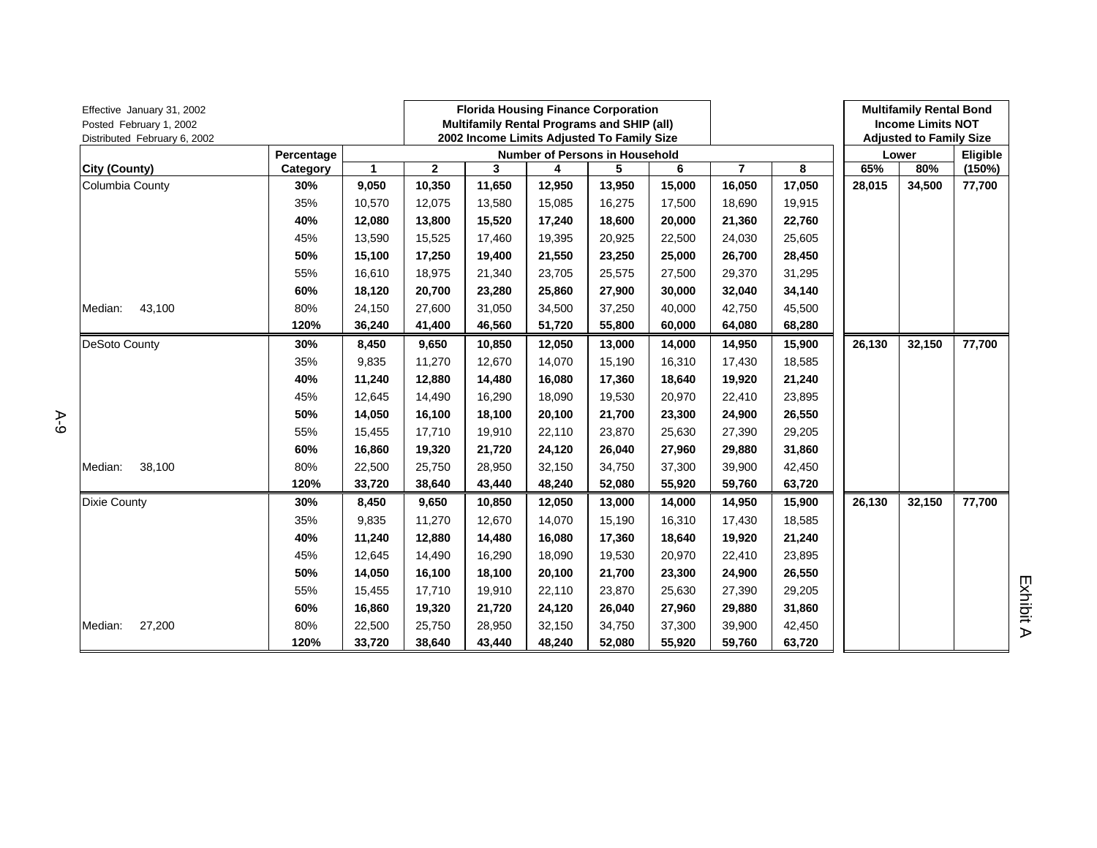| Effective January 31, 2002<br>Posted February 1, 2002<br>Distributed February 6, 2002 |            |              |              |        | <b>Florida Housing Finance Corporation</b><br>Multifamily Rental Programs and SHIP (all)<br>2002 Income Limits Adjusted To Family Size |                                       |        |                |        | <b>Multifamily Rental Bond</b><br><b>Income Limits NOT</b><br><b>Adjusted to Family Size</b> |        |          |
|---------------------------------------------------------------------------------------|------------|--------------|--------------|--------|----------------------------------------------------------------------------------------------------------------------------------------|---------------------------------------|--------|----------------|--------|----------------------------------------------------------------------------------------------|--------|----------|
|                                                                                       | Percentage |              |              |        |                                                                                                                                        | <b>Number of Persons in Household</b> |        |                |        |                                                                                              | Lower  | Eligible |
| <b>City (County)</b>                                                                  | Category   | $\mathbf{1}$ | $\mathbf{2}$ | 3      | 4                                                                                                                                      | 5                                     | 6      | $\overline{7}$ | 8      | 65%                                                                                          | 80%    | (150%)   |
| Columbia County                                                                       | 30%        | 9,050        | 10,350       | 11,650 | 12,950                                                                                                                                 | 13,950                                | 15,000 | 16,050         | 17,050 | 28,015                                                                                       | 34,500 | 77,700   |
|                                                                                       | 35%        | 10,570       | 12,075       | 13,580 | 15,085                                                                                                                                 | 16,275                                | 17,500 | 18,690         | 19,915 |                                                                                              |        |          |
|                                                                                       | 40%        | 12,080       | 13,800       | 15,520 | 17,240                                                                                                                                 | 18,600                                | 20,000 | 21,360         | 22,760 |                                                                                              |        |          |
|                                                                                       | 45%        | 13,590       | 15,525       | 17,460 | 19,395                                                                                                                                 | 20,925                                | 22,500 | 24,030         | 25,605 |                                                                                              |        |          |
|                                                                                       | 50%        | 15,100       | 17,250       | 19,400 | 21,550                                                                                                                                 | 23,250                                | 25,000 | 26,700         | 28,450 |                                                                                              |        |          |
|                                                                                       | 55%        | 16,610       | 18,975       | 21,340 | 23,705                                                                                                                                 | 25,575                                | 27,500 | 29,370         | 31,295 |                                                                                              |        |          |
|                                                                                       | 60%        | 18,120       | 20,700       | 23,280 | 25,860                                                                                                                                 | 27,900                                | 30,000 | 32,040         | 34,140 |                                                                                              |        |          |
| 43,100<br>Median:                                                                     | 80%        | 24,150       | 27,600       | 31,050 | 34,500                                                                                                                                 | 37,250                                | 40,000 | 42,750         | 45,500 |                                                                                              |        |          |
|                                                                                       | 120%       | 36,240       | 41,400       | 46,560 | 51,720                                                                                                                                 | 55,800                                | 60,000 | 64,080         | 68,280 |                                                                                              |        |          |
| <b>DeSoto County</b>                                                                  | 30%        | 8,450        | 9,650        | 10,850 | 12,050                                                                                                                                 | 13,000                                | 14,000 | 14,950         | 15,900 | 26,130                                                                                       | 32,150 | 77,700   |
|                                                                                       | 35%        | 9,835        | 11,270       | 12,670 | 14,070                                                                                                                                 | 15,190                                | 16,310 | 17,430         | 18,585 |                                                                                              |        |          |
|                                                                                       | 40%        | 11,240       | 12,880       | 14,480 | 16,080                                                                                                                                 | 17,360                                | 18,640 | 19,920         | 21,240 |                                                                                              |        |          |
|                                                                                       | 45%        | 12,645       | 14,490       | 16,290 | 18,090                                                                                                                                 | 19,530                                | 20,970 | 22,410         | 23,895 |                                                                                              |        |          |
|                                                                                       | 50%        | 14,050       | 16,100       | 18,100 | 20,100                                                                                                                                 | 21,700                                | 23,300 | 24,900         | 26,550 |                                                                                              |        |          |
|                                                                                       | 55%        | 15,455       | 17,710       | 19,910 | 22,110                                                                                                                                 | 23,870                                | 25,630 | 27,390         | 29,205 |                                                                                              |        |          |
|                                                                                       | 60%        | 16,860       | 19,320       | 21,720 | 24.120                                                                                                                                 | 26,040                                | 27,960 | 29,880         | 31,860 |                                                                                              |        |          |
| 38,100<br>Median:                                                                     | 80%        | 22,500       | 25,750       | 28,950 | 32,150                                                                                                                                 | 34,750                                | 37,300 | 39,900         | 42,450 |                                                                                              |        |          |
|                                                                                       | 120%       | 33,720       | 38,640       | 43,440 | 48,240                                                                                                                                 | 52,080                                | 55,920 | 59,760         | 63,720 |                                                                                              |        |          |
| Dixie County                                                                          | 30%        | 8,450        | 9,650        | 10,850 | 12,050                                                                                                                                 | 13,000                                | 14,000 | 14,950         | 15,900 | 26,130                                                                                       | 32,150 | 77,700   |
|                                                                                       | 35%        | 9,835        | 11,270       | 12,670 | 14,070                                                                                                                                 | 15,190                                | 16,310 | 17,430         | 18,585 |                                                                                              |        |          |
|                                                                                       | 40%        | 11,240       | 12,880       | 14,480 | 16,080                                                                                                                                 | 17,360                                | 18,640 | 19,920         | 21,240 |                                                                                              |        |          |
|                                                                                       | 45%        | 12,645       | 14,490       | 16,290 | 18,090                                                                                                                                 | 19,530                                | 20,970 | 22,410         | 23,895 |                                                                                              |        |          |
|                                                                                       | 50%        | 14,050       | 16,100       | 18,100 | 20,100                                                                                                                                 | 21,700                                | 23,300 | 24,900         | 26,550 |                                                                                              |        |          |
|                                                                                       | 55%        | 15,455       | 17,710       | 19,910 | 22,110                                                                                                                                 | 23,870                                | 25,630 | 27,390         | 29,205 |                                                                                              |        |          |
|                                                                                       | 60%        | 16,860       | 19,320       | 21,720 | 24,120                                                                                                                                 | 26,040                                | 27,960 | 29,880         | 31,860 |                                                                                              |        |          |
| 27,200<br>Median:                                                                     | 80%        | 22,500       | 25,750       | 28,950 | 32,150                                                                                                                                 | 34,750                                | 37,300 | 39,900         | 42,450 |                                                                                              |        |          |
|                                                                                       | 120%       | 33,720       | 38,640       | 43,440 | 48,240                                                                                                                                 | 52,080                                | 55,920 | 59,760         | 63,720 |                                                                                              |        |          |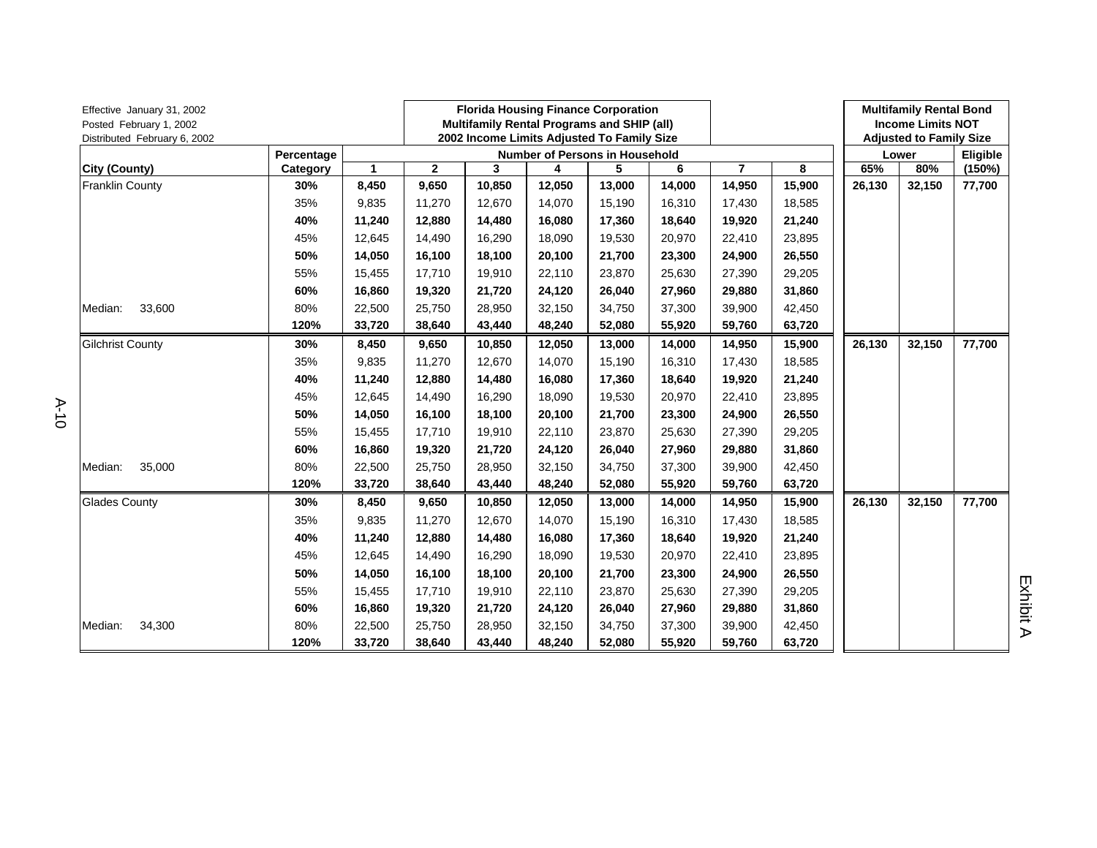| Effective January 31, 2002<br>Posted February 1, 2002<br>Distributed February 6, 2002 |            |              |              | <b>Florida Housing Finance Corporation</b><br>Multifamily Rental Programs and SHIP (all)<br>2002 Income Limits Adjusted To Family Size |                                       |        |        |                |        | <b>Multifamily Rental Bond</b><br><b>Income Limits NOT</b><br><b>Adjusted to Family Size</b> |        |          |
|---------------------------------------------------------------------------------------|------------|--------------|--------------|----------------------------------------------------------------------------------------------------------------------------------------|---------------------------------------|--------|--------|----------------|--------|----------------------------------------------------------------------------------------------|--------|----------|
|                                                                                       | Percentage |              |              |                                                                                                                                        | <b>Number of Persons in Household</b> |        |        |                |        |                                                                                              | Lower  | Eligible |
| City (County)                                                                         | Category   | $\mathbf{1}$ | $\mathbf{2}$ | 3                                                                                                                                      | 4                                     | 5      | 6      | $\overline{7}$ | 8      | 65%                                                                                          | 80%    | (150%)   |
| <b>Franklin County</b>                                                                | 30%        | 8,450        | 9,650        | 10,850                                                                                                                                 | 12,050                                | 13,000 | 14,000 | 14,950         | 15,900 | 26,130                                                                                       | 32,150 | 77,700   |
|                                                                                       | 35%        | 9,835        | 11,270       | 12,670                                                                                                                                 | 14,070                                | 15,190 | 16,310 | 17,430         | 18,585 |                                                                                              |        |          |
|                                                                                       | 40%        | 11,240       | 12,880       | 14,480                                                                                                                                 | 16,080                                | 17,360 | 18,640 | 19,920         | 21,240 |                                                                                              |        |          |
|                                                                                       | 45%        | 12,645       | 14,490       | 16,290                                                                                                                                 | 18,090                                | 19,530 | 20,970 | 22,410         | 23,895 |                                                                                              |        |          |
|                                                                                       | 50%        | 14,050       | 16,100       | 18,100                                                                                                                                 | 20,100                                | 21,700 | 23,300 | 24,900         | 26,550 |                                                                                              |        |          |
|                                                                                       | 55%        | 15,455       | 17,710       | 19,910                                                                                                                                 | 22,110                                | 23,870 | 25,630 | 27,390         | 29,205 |                                                                                              |        |          |
|                                                                                       | 60%        | 16,860       | 19,320       | 21,720                                                                                                                                 | 24,120                                | 26,040 | 27,960 | 29,880         | 31,860 |                                                                                              |        |          |
| 33,600<br>Median:                                                                     | 80%        | 22,500       | 25,750       | 28,950                                                                                                                                 | 32,150                                | 34,750 | 37,300 | 39,900         | 42,450 |                                                                                              |        |          |
|                                                                                       | 120%       | 33,720       | 38,640       | 43,440                                                                                                                                 | 48,240                                | 52,080 | 55,920 | 59,760         | 63,720 |                                                                                              |        |          |
| <b>Gilchrist County</b>                                                               | 30%        | 8,450        | 9,650        | 10,850                                                                                                                                 | 12,050                                | 13,000 | 14,000 | 14,950         | 15,900 | 26,130                                                                                       | 32,150 | 77,700   |
|                                                                                       | 35%        | 9,835        | 11,270       | 12,670                                                                                                                                 | 14,070                                | 15,190 | 16,310 | 17,430         | 18,585 |                                                                                              |        |          |
|                                                                                       | 40%        | 11,240       | 12,880       | 14,480                                                                                                                                 | 16,080                                | 17,360 | 18,640 | 19,920         | 21,240 |                                                                                              |        |          |
|                                                                                       | 45%        | 12,645       | 14,490       | 16,290                                                                                                                                 | 18,090                                | 19,530 | 20,970 | 22,410         | 23,895 |                                                                                              |        |          |
|                                                                                       | 50%        | 14,050       | 16,100       | 18,100                                                                                                                                 | 20,100                                | 21,700 | 23,300 | 24,900         | 26,550 |                                                                                              |        |          |
|                                                                                       | 55%        | 15,455       | 17,710       | 19,910                                                                                                                                 | 22,110                                | 23,870 | 25,630 | 27,390         | 29,205 |                                                                                              |        |          |
|                                                                                       | 60%        | 16,860       | 19,320       | 21,720                                                                                                                                 | 24,120                                | 26,040 | 27,960 | 29,880         | 31,860 |                                                                                              |        |          |
| 35,000<br>Median:                                                                     | 80%        | 22,500       | 25,750       | 28,950                                                                                                                                 | 32,150                                | 34,750 | 37,300 | 39,900         | 42,450 |                                                                                              |        |          |
|                                                                                       | 120%       | 33,720       | 38,640       | 43,440                                                                                                                                 | 48,240                                | 52,080 | 55,920 | 59,760         | 63,720 |                                                                                              |        |          |
| <b>Glades County</b>                                                                  | 30%        | 8,450        | 9,650        | 10,850                                                                                                                                 | 12,050                                | 13,000 | 14,000 | 14,950         | 15,900 | 26,130                                                                                       | 32,150 | 77,700   |
|                                                                                       | 35%        | 9,835        | 11,270       | 12,670                                                                                                                                 | 14,070                                | 15,190 | 16,310 | 17,430         | 18,585 |                                                                                              |        |          |
|                                                                                       | 40%        | 11,240       | 12,880       | 14,480                                                                                                                                 | 16,080                                | 17,360 | 18,640 | 19,920         | 21,240 |                                                                                              |        |          |
|                                                                                       | 45%        | 12,645       | 14,490       | 16,290                                                                                                                                 | 18,090                                | 19,530 | 20,970 | 22,410         | 23,895 |                                                                                              |        |          |
|                                                                                       | 50%        | 14,050       | 16,100       | 18,100                                                                                                                                 | 20,100                                | 21,700 | 23,300 | 24,900         | 26,550 |                                                                                              |        |          |
|                                                                                       | 55%        | 15,455       | 17,710       | 19,910                                                                                                                                 | 22,110                                | 23,870 | 25,630 | 27,390         | 29,205 |                                                                                              |        |          |
|                                                                                       | 60%        | 16,860       | 19,320       | 21,720                                                                                                                                 | 24,120                                | 26,040 | 27,960 | 29,880         | 31,860 |                                                                                              |        |          |
| Median:<br>34,300                                                                     | 80%        | 22,500       | 25,750       | 28,950                                                                                                                                 | 32,150                                | 34,750 | 37,300 | 39,900         | 42,450 |                                                                                              |        |          |
|                                                                                       | 120%       | 33,720       | 38,640       | 43,440                                                                                                                                 | 48,240                                | 52,080 | 55,920 | 59,760         | 63,720 |                                                                                              |        |          |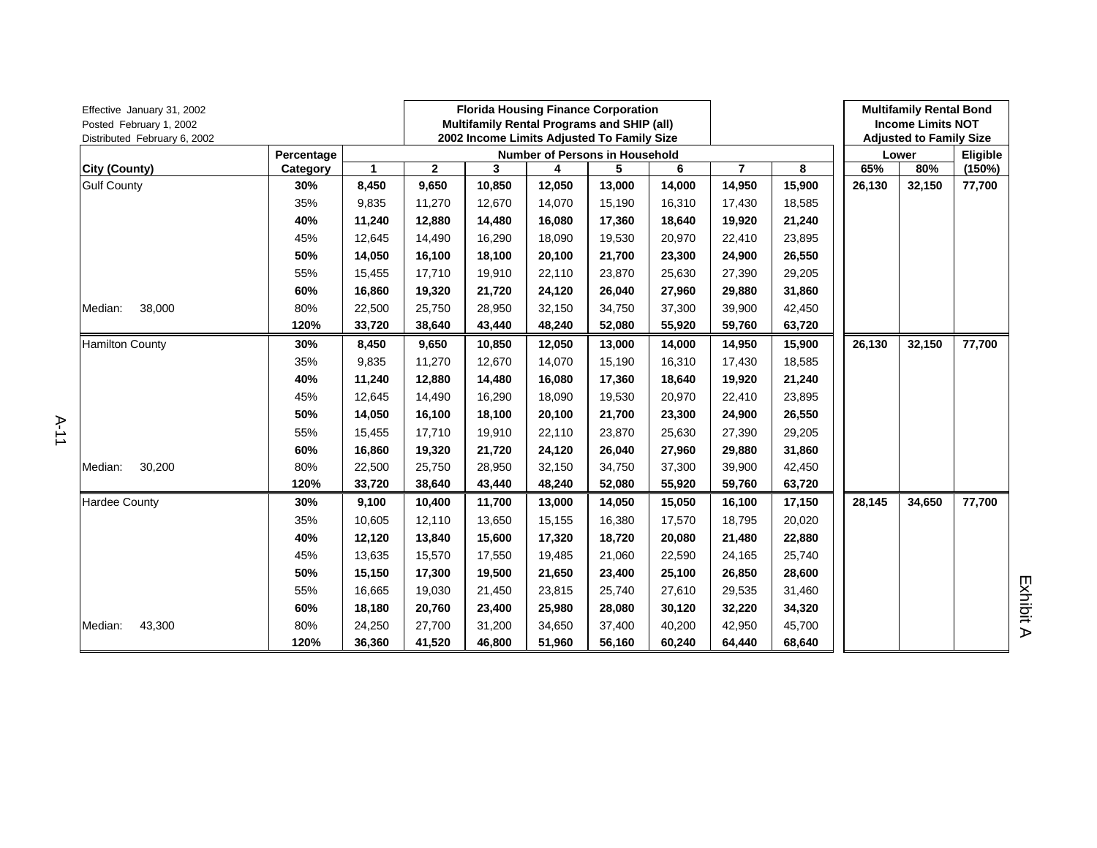| Effective January 31, 2002<br>Posted February 1, 2002<br>Distributed February 6, 2002 |            |              |              |        |        | <b>Florida Housing Finance Corporation</b><br>Multifamily Rental Programs and SHIP (all)<br>2002 Income Limits Adjusted To Family Size |        |                |        |        | <b>Multifamily Rental Bond</b><br><b>Income Limits NOT</b><br><b>Adjusted to Family Size</b> |          |
|---------------------------------------------------------------------------------------|------------|--------------|--------------|--------|--------|----------------------------------------------------------------------------------------------------------------------------------------|--------|----------------|--------|--------|----------------------------------------------------------------------------------------------|----------|
|                                                                                       | Percentage |              |              |        |        | <b>Number of Persons in Household</b>                                                                                                  |        |                |        |        | Lower                                                                                        | Eligible |
| City (County)                                                                         | Category   | $\mathbf{1}$ | $\mathbf{2}$ | 3      | 4      | 5                                                                                                                                      | 6      | $\overline{7}$ | 8      | 65%    | 80%                                                                                          | (150%)   |
| <b>Gulf County</b>                                                                    | 30%        | 8,450        | 9,650        | 10,850 | 12,050 | 13,000                                                                                                                                 | 14,000 | 14,950         | 15,900 | 26,130 | 32,150                                                                                       | 77,700   |
|                                                                                       | 35%        | 9,835        | 11,270       | 12,670 | 14,070 | 15,190                                                                                                                                 | 16,310 | 17,430         | 18,585 |        |                                                                                              |          |
|                                                                                       | 40%        | 11,240       | 12,880       | 14,480 | 16,080 | 17,360                                                                                                                                 | 18,640 | 19,920         | 21,240 |        |                                                                                              |          |
|                                                                                       | 45%        | 12,645       | 14,490       | 16,290 | 18,090 | 19,530                                                                                                                                 | 20,970 | 22,410         | 23,895 |        |                                                                                              |          |
|                                                                                       | 50%        | 14,050       | 16,100       | 18,100 | 20.100 | 21,700                                                                                                                                 | 23,300 | 24,900         | 26,550 |        |                                                                                              |          |
|                                                                                       | 55%        | 15,455       | 17,710       | 19,910 | 22,110 | 23,870                                                                                                                                 | 25,630 | 27,390         | 29,205 |        |                                                                                              |          |
|                                                                                       | 60%        | 16,860       | 19,320       | 21,720 | 24,120 | 26,040                                                                                                                                 | 27,960 | 29,880         | 31,860 |        |                                                                                              |          |
| 38,000<br>Median:                                                                     | 80%        | 22,500       | 25,750       | 28,950 | 32,150 | 34,750                                                                                                                                 | 37,300 | 39,900         | 42,450 |        |                                                                                              |          |
|                                                                                       | 120%       | 33,720       | 38,640       | 43,440 | 48,240 | 52,080                                                                                                                                 | 55,920 | 59,760         | 63,720 |        |                                                                                              |          |
| <b>Hamilton County</b>                                                                | 30%        | 8,450        | 9,650        | 10,850 | 12,050 | 13,000                                                                                                                                 | 14,000 | 14,950         | 15,900 | 26,130 | 32,150                                                                                       | 77,700   |
|                                                                                       | 35%        | 9,835        | 11,270       | 12,670 | 14,070 | 15,190                                                                                                                                 | 16,310 | 17,430         | 18,585 |        |                                                                                              |          |
|                                                                                       | 40%        | 11,240       | 12,880       | 14,480 | 16,080 | 17,360                                                                                                                                 | 18,640 | 19,920         | 21,240 |        |                                                                                              |          |
|                                                                                       | 45%        | 12,645       | 14,490       | 16,290 | 18,090 | 19,530                                                                                                                                 | 20,970 | 22,410         | 23,895 |        |                                                                                              |          |
|                                                                                       | 50%        | 14,050       | 16,100       | 18,100 | 20,100 | 21,700                                                                                                                                 | 23,300 | 24,900         | 26,550 |        |                                                                                              |          |
|                                                                                       | 55%        | 15,455       | 17,710       | 19,910 | 22,110 | 23,870                                                                                                                                 | 25,630 | 27,390         | 29,205 |        |                                                                                              |          |
|                                                                                       | 60%        | 16,860       | 19,320       | 21,720 | 24,120 | 26,040                                                                                                                                 | 27,960 | 29,880         | 31,860 |        |                                                                                              |          |
| 30,200<br>Median:                                                                     | 80%        | 22,500       | 25,750       | 28,950 | 32,150 | 34,750                                                                                                                                 | 37,300 | 39,900         | 42,450 |        |                                                                                              |          |
|                                                                                       | 120%       | 33,720       | 38,640       | 43,440 | 48,240 | 52,080                                                                                                                                 | 55,920 | 59,760         | 63,720 |        |                                                                                              |          |
| <b>Hardee County</b>                                                                  | 30%        | 9,100        | 10,400       | 11,700 | 13,000 | 14,050                                                                                                                                 | 15,050 | 16,100         | 17,150 | 28,145 | 34,650                                                                                       | 77,700   |
|                                                                                       | 35%        | 10,605       | 12,110       | 13,650 | 15,155 | 16,380                                                                                                                                 | 17,570 | 18,795         | 20,020 |        |                                                                                              |          |
|                                                                                       | 40%        | 12,120       | 13,840       | 15,600 | 17,320 | 18,720                                                                                                                                 | 20,080 | 21,480         | 22,880 |        |                                                                                              |          |
|                                                                                       | 45%        | 13,635       | 15,570       | 17,550 | 19,485 | 21,060                                                                                                                                 | 22,590 | 24,165         | 25,740 |        |                                                                                              |          |
|                                                                                       | 50%        | 15,150       | 17,300       | 19,500 | 21,650 | 23,400                                                                                                                                 | 25,100 | 26,850         | 28,600 |        |                                                                                              |          |
|                                                                                       | 55%        | 16,665       | 19,030       | 21,450 | 23,815 | 25,740                                                                                                                                 | 27,610 | 29,535         | 31,460 |        |                                                                                              |          |
|                                                                                       | 60%        | 18,180       | 20,760       | 23,400 | 25,980 | 28,080                                                                                                                                 | 30,120 | 32,220         | 34,320 |        |                                                                                              |          |
| 43,300<br>Median:                                                                     | 80%        | 24,250       | 27,700       | 31,200 | 34,650 | 37,400                                                                                                                                 | 40,200 | 42,950         | 45,700 |        |                                                                                              |          |
|                                                                                       | 120%       | 36,360       | 41,520       | 46,800 | 51,960 | 56,160                                                                                                                                 | 60,240 | 64,440         | 68,640 |        |                                                                                              |          |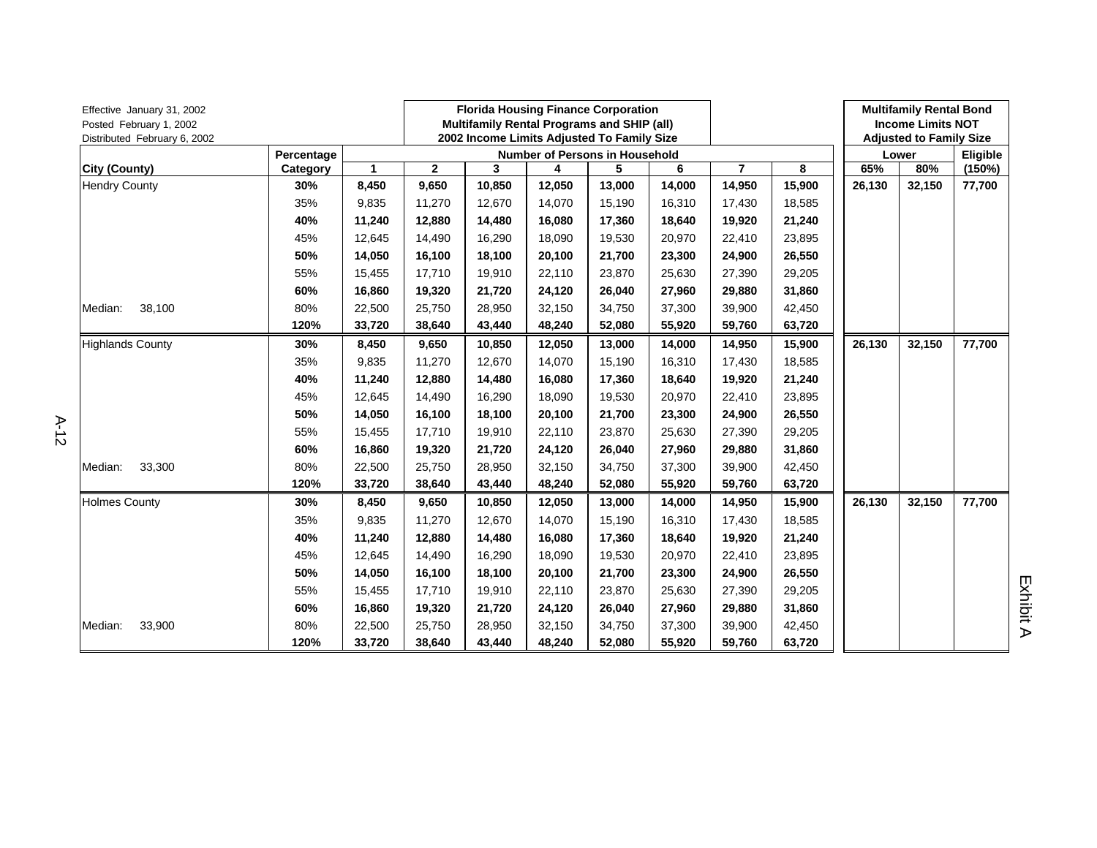| Effective January 31, 2002<br>Posted February 1, 2002<br>Distributed February 6, 2002 |            |              |              |        | <b>Florida Housing Finance Corporation</b><br>Multifamily Rental Programs and SHIP (all)<br>2002 Income Limits Adjusted To Family Size |                                       |        |                |        | <b>Multifamily Rental Bond</b><br><b>Income Limits NOT</b><br><b>Adjusted to Family Size</b> |        |          |
|---------------------------------------------------------------------------------------|------------|--------------|--------------|--------|----------------------------------------------------------------------------------------------------------------------------------------|---------------------------------------|--------|----------------|--------|----------------------------------------------------------------------------------------------|--------|----------|
|                                                                                       | Percentage |              |              |        |                                                                                                                                        | <b>Number of Persons in Household</b> |        |                |        |                                                                                              | Lower  | Eligible |
| City (County)                                                                         | Category   | $\mathbf{1}$ | $\mathbf{2}$ | 3      | 4                                                                                                                                      | 5                                     | 6      | $\overline{7}$ | 8      | 65%                                                                                          | 80%    | (150%)   |
| <b>Hendry County</b>                                                                  | 30%        | 8,450        | 9,650        | 10,850 | 12,050                                                                                                                                 | 13,000                                | 14,000 | 14,950         | 15,900 | 26,130                                                                                       | 32,150 | 77,700   |
|                                                                                       | 35%        | 9,835        | 11,270       | 12,670 | 14,070                                                                                                                                 | 15,190                                | 16,310 | 17,430         | 18,585 |                                                                                              |        |          |
|                                                                                       | 40%        | 11,240       | 12,880       | 14,480 | 16,080                                                                                                                                 | 17,360                                | 18,640 | 19,920         | 21,240 |                                                                                              |        |          |
|                                                                                       | 45%        | 12,645       | 14,490       | 16,290 | 18,090                                                                                                                                 | 19,530                                | 20,970 | 22,410         | 23,895 |                                                                                              |        |          |
|                                                                                       | 50%        | 14,050       | 16,100       | 18,100 | 20.100                                                                                                                                 | 21,700                                | 23,300 | 24,900         | 26,550 |                                                                                              |        |          |
|                                                                                       | 55%        | 15,455       | 17,710       | 19,910 | 22,110                                                                                                                                 | 23,870                                | 25,630 | 27,390         | 29,205 |                                                                                              |        |          |
|                                                                                       | 60%        | 16,860       | 19,320       | 21,720 | 24,120                                                                                                                                 | 26,040                                | 27,960 | 29,880         | 31,860 |                                                                                              |        |          |
| 38,100<br>Median:                                                                     | 80%        | 22,500       | 25,750       | 28,950 | 32,150                                                                                                                                 | 34,750                                | 37,300 | 39,900         | 42,450 |                                                                                              |        |          |
|                                                                                       | 120%       | 33,720       | 38,640       | 43,440 | 48,240                                                                                                                                 | 52,080                                | 55,920 | 59,760         | 63,720 |                                                                                              |        |          |
| <b>Highlands County</b>                                                               | 30%        | 8,450        | 9,650        | 10,850 | 12,050                                                                                                                                 | 13,000                                | 14,000 | 14,950         | 15,900 | 26,130                                                                                       | 32,150 | 77,700   |
|                                                                                       | 35%        | 9,835        | 11,270       | 12,670 | 14,070                                                                                                                                 | 15,190                                | 16,310 | 17,430         | 18,585 |                                                                                              |        |          |
|                                                                                       | 40%        | 11,240       | 12,880       | 14,480 | 16,080                                                                                                                                 | 17,360                                | 18,640 | 19,920         | 21,240 |                                                                                              |        |          |
|                                                                                       | 45%        | 12,645       | 14,490       | 16,290 | 18,090                                                                                                                                 | 19,530                                | 20,970 | 22,410         | 23,895 |                                                                                              |        |          |
|                                                                                       | 50%        | 14,050       | 16,100       | 18,100 | 20,100                                                                                                                                 | 21,700                                | 23,300 | 24,900         | 26,550 |                                                                                              |        |          |
|                                                                                       | 55%        | 15,455       | 17,710       | 19,910 | 22,110                                                                                                                                 | 23,870                                | 25,630 | 27,390         | 29,205 |                                                                                              |        |          |
|                                                                                       | 60%        | 16,860       | 19,320       | 21,720 | 24,120                                                                                                                                 | 26,040                                | 27,960 | 29,880         | 31,860 |                                                                                              |        |          |
| 33,300<br>Median:                                                                     | 80%        | 22,500       | 25,750       | 28,950 | 32,150                                                                                                                                 | 34,750                                | 37,300 | 39,900         | 42,450 |                                                                                              |        |          |
|                                                                                       | 120%       | 33,720       | 38,640       | 43,440 | 48,240                                                                                                                                 | 52,080                                | 55,920 | 59,760         | 63,720 |                                                                                              |        |          |
| <b>Holmes County</b>                                                                  | 30%        | 8,450        | 9,650        | 10,850 | 12,050                                                                                                                                 | 13,000                                | 14,000 | 14,950         | 15,900 | 26,130                                                                                       | 32,150 | 77,700   |
|                                                                                       | 35%        | 9,835        | 11,270       | 12,670 | 14,070                                                                                                                                 | 15,190                                | 16,310 | 17,430         | 18,585 |                                                                                              |        |          |
|                                                                                       | 40%        | 11,240       | 12,880       | 14,480 | 16,080                                                                                                                                 | 17,360                                | 18,640 | 19,920         | 21,240 |                                                                                              |        |          |
|                                                                                       | 45%        | 12,645       | 14,490       | 16,290 | 18,090                                                                                                                                 | 19,530                                | 20,970 | 22,410         | 23,895 |                                                                                              |        |          |
|                                                                                       | 50%        | 14,050       | 16,100       | 18,100 | 20,100                                                                                                                                 | 21,700                                | 23,300 | 24,900         | 26,550 |                                                                                              |        |          |
|                                                                                       | 55%        | 15,455       | 17,710       | 19,910 | 22,110                                                                                                                                 | 23,870                                | 25,630 | 27,390         | 29,205 |                                                                                              |        |          |
|                                                                                       | 60%        | 16,860       | 19,320       | 21,720 | 24,120                                                                                                                                 | 26,040                                | 27,960 | 29,880         | 31,860 |                                                                                              |        |          |
| Median:<br>33,900                                                                     | 80%        | 22,500       | 25,750       | 28,950 | 32,150                                                                                                                                 | 34,750                                | 37,300 | 39,900         | 42,450 |                                                                                              |        |          |
|                                                                                       | 120%       | 33,720       | 38,640       | 43,440 | 48,240                                                                                                                                 | 52,080                                | 55,920 | 59,760         | 63,720 |                                                                                              |        |          |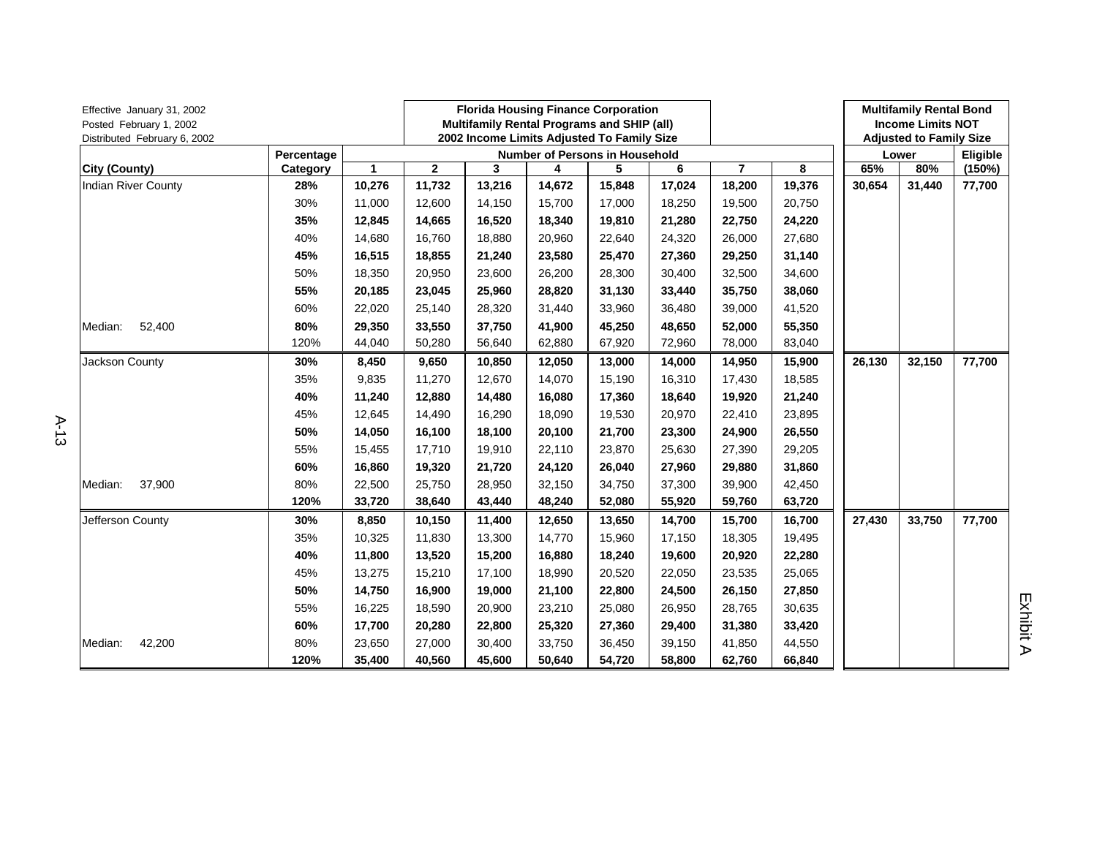| Effective January 31, 2002<br>Posted February 1, 2002<br>Distributed February 6, 2002 |            |        |              | <b>Florida Housing Finance Corporation</b><br>Multifamily Rental Programs and SHIP (all)<br>2002 Income Limits Adjusted To Family Size |        |                                       |        | <b>Multifamily Rental Bond</b><br><b>Income Limits NOT</b><br><b>Adjusted to Family Size</b> |        |        |          |        |
|---------------------------------------------------------------------------------------|------------|--------|--------------|----------------------------------------------------------------------------------------------------------------------------------------|--------|---------------------------------------|--------|----------------------------------------------------------------------------------------------|--------|--------|----------|--------|
|                                                                                       | Percentage |        |              |                                                                                                                                        |        | <b>Number of Persons in Household</b> |        |                                                                                              |        | Lower  | Eligible |        |
| <b>City (County)</b>                                                                  | Category   | 1      | $\mathbf{2}$ | 3                                                                                                                                      | 4      | 5                                     | 6      | $\overline{7}$                                                                               | 8      | 65%    | 80%      | (150%) |
| <b>Indian River County</b>                                                            | 28%        | 10,276 | 11,732       | 13,216                                                                                                                                 | 14,672 | 15,848                                | 17,024 | 18,200                                                                                       | 19,376 | 30,654 | 31,440   | 77,700 |
|                                                                                       | 30%        | 11,000 | 12,600       | 14,150                                                                                                                                 | 15,700 | 17,000                                | 18,250 | 19,500                                                                                       | 20,750 |        |          |        |
|                                                                                       | 35%        | 12,845 | 14,665       | 16,520                                                                                                                                 | 18,340 | 19,810                                | 21,280 | 22,750                                                                                       | 24,220 |        |          |        |
|                                                                                       | 40%        | 14,680 | 16,760       | 18,880                                                                                                                                 | 20,960 | 22,640                                | 24,320 | 26,000                                                                                       | 27,680 |        |          |        |
|                                                                                       | 45%        | 16,515 | 18,855       | 21,240                                                                                                                                 | 23,580 | 25,470                                | 27,360 | 29,250                                                                                       | 31,140 |        |          |        |
|                                                                                       | 50%        | 18,350 | 20,950       | 23,600                                                                                                                                 | 26,200 | 28,300                                | 30,400 | 32,500                                                                                       | 34,600 |        |          |        |
|                                                                                       | 55%        | 20,185 | 23,045       | 25,960                                                                                                                                 | 28,820 | 31,130                                | 33,440 | 35,750                                                                                       | 38,060 |        |          |        |
|                                                                                       | 60%        | 22,020 | 25,140       | 28,320                                                                                                                                 | 31,440 | 33,960                                | 36,480 | 39,000                                                                                       | 41,520 |        |          |        |
| 52,400<br>Median:                                                                     | 80%        | 29,350 | 33,550       | 37,750                                                                                                                                 | 41,900 | 45,250                                | 48,650 | 52,000                                                                                       | 55,350 |        |          |        |
|                                                                                       | 120%       | 44,040 | 50,280       | 56,640                                                                                                                                 | 62,880 | 67,920                                | 72,960 | 78,000                                                                                       | 83,040 |        |          |        |
| Jackson County                                                                        | 30%        | 8,450  | 9,650        | 10,850                                                                                                                                 | 12,050 | 13,000                                | 14,000 | 14,950                                                                                       | 15,900 | 26,130 | 32,150   | 77,700 |
|                                                                                       | 35%        | 9,835  | 11,270       | 12,670                                                                                                                                 | 14,070 | 15,190                                | 16,310 | 17,430                                                                                       | 18,585 |        |          |        |
|                                                                                       | 40%        | 11,240 | 12,880       | 14,480                                                                                                                                 | 16,080 | 17,360                                | 18,640 | 19,920                                                                                       | 21,240 |        |          |        |
|                                                                                       | 45%        | 12,645 | 14,490       | 16,290                                                                                                                                 | 18,090 | 19,530                                | 20,970 | 22,410                                                                                       | 23,895 |        |          |        |
|                                                                                       | 50%        | 14,050 | 16,100       | 18,100                                                                                                                                 | 20,100 | 21,700                                | 23,300 | 24,900                                                                                       | 26,550 |        |          |        |
|                                                                                       | 55%        | 15,455 | 17,710       | 19,910                                                                                                                                 | 22,110 | 23,870                                | 25,630 | 27,390                                                                                       | 29,205 |        |          |        |
|                                                                                       | 60%        | 16,860 | 19,320       | 21,720                                                                                                                                 | 24,120 | 26,040                                | 27,960 | 29,880                                                                                       | 31,860 |        |          |        |
| 37,900<br>Median:                                                                     | 80%        | 22,500 | 25,750       | 28,950                                                                                                                                 | 32,150 | 34,750                                | 37,300 | 39,900                                                                                       | 42,450 |        |          |        |
|                                                                                       | 120%       | 33,720 | 38,640       | 43,440                                                                                                                                 | 48,240 | 52,080                                | 55,920 | 59,760                                                                                       | 63,720 |        |          |        |
| Jefferson County                                                                      | 30%        | 8,850  | 10,150       | 11,400                                                                                                                                 | 12,650 | 13,650                                | 14,700 | 15,700                                                                                       | 16,700 | 27,430 | 33,750   | 77,700 |
|                                                                                       | 35%        | 10,325 | 11,830       | 13,300                                                                                                                                 | 14,770 | 15,960                                | 17,150 | 18,305                                                                                       | 19,495 |        |          |        |
|                                                                                       | 40%        | 11,800 | 13,520       | 15,200                                                                                                                                 | 16,880 | 18,240                                | 19,600 | 20,920                                                                                       | 22,280 |        |          |        |
|                                                                                       | 45%        | 13,275 | 15,210       | 17,100                                                                                                                                 | 18,990 | 20,520                                | 22,050 | 23,535                                                                                       | 25,065 |        |          |        |
|                                                                                       | 50%        | 14,750 | 16,900       | 19,000                                                                                                                                 | 21,100 | 22,800                                | 24,500 | 26,150                                                                                       | 27,850 |        |          |        |
|                                                                                       | 55%        | 16,225 | 18,590       | 20,900                                                                                                                                 | 23,210 | 25,080                                | 26,950 | 28,765                                                                                       | 30,635 |        |          |        |
|                                                                                       | 60%        | 17,700 | 20,280       | 22,800                                                                                                                                 | 25,320 | 27,360                                | 29,400 | 31,380                                                                                       | 33,420 |        |          |        |
| 42,200<br>Median:                                                                     | 80%        | 23,650 | 27,000       | 30,400                                                                                                                                 | 33,750 | 36,450                                | 39,150 | 41,850                                                                                       | 44,550 |        |          |        |
|                                                                                       | 120%       | 35,400 | 40,560       | 45,600                                                                                                                                 | 50,640 | 54,720                                | 58,800 | 62,760                                                                                       | 66,840 |        |          |        |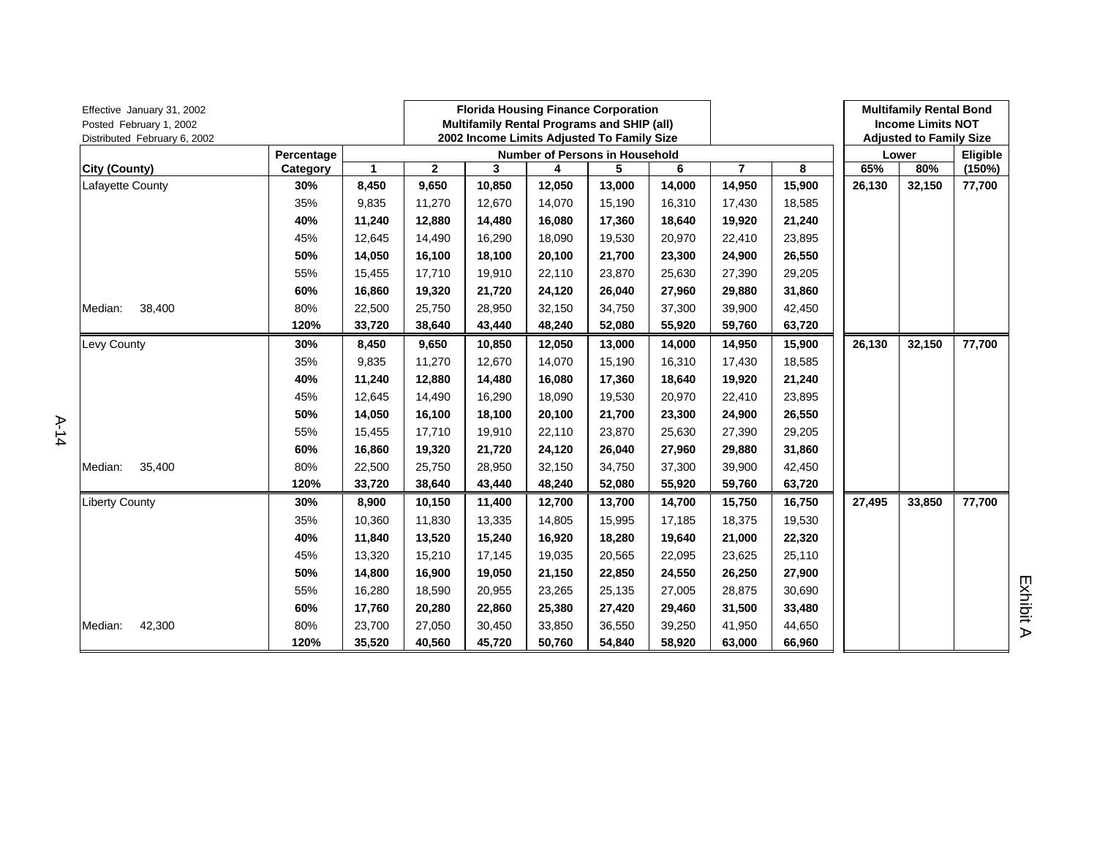| Effective January 31, 2002<br>Posted February 1, 2002<br>Distributed February 6, 2002 |            |                                       |              | <b>Florida Housing Finance Corporation</b><br>Multifamily Rental Programs and SHIP (all)<br>2002 Income Limits Adjusted To Family Size |        |        |        |                | <b>Multifamily Rental Bond</b><br><b>Income Limits NOT</b><br><b>Adjusted to Family Size</b> |        |        |        |  |
|---------------------------------------------------------------------------------------|------------|---------------------------------------|--------------|----------------------------------------------------------------------------------------------------------------------------------------|--------|--------|--------|----------------|----------------------------------------------------------------------------------------------|--------|--------|--------|--|
|                                                                                       | Percentage | <b>Number of Persons in Household</b> |              |                                                                                                                                        |        |        |        |                |                                                                                              |        | Lower  |        |  |
| City (County)                                                                         | Category   | $\mathbf{1}$                          | $\mathbf{2}$ | 3                                                                                                                                      | 4      | 5      | 6      | $\overline{7}$ | 8                                                                                            | 65%    | 80%    | (150%) |  |
| Lafayette County                                                                      | 30%        | 8,450                                 | 9,650        | 10,850                                                                                                                                 | 12,050 | 13,000 | 14,000 | 14,950         | 15,900                                                                                       | 26,130 | 32,150 | 77,700 |  |
|                                                                                       | 35%        | 9,835                                 | 11,270       | 12,670                                                                                                                                 | 14,070 | 15,190 | 16,310 | 17,430         | 18,585                                                                                       |        |        |        |  |
|                                                                                       | 40%        | 11,240                                | 12.880       | 14,480                                                                                                                                 | 16.080 | 17,360 | 18,640 | 19,920         | 21,240                                                                                       |        |        |        |  |
|                                                                                       | 45%        | 12,645                                | 14,490       | 16,290                                                                                                                                 | 18,090 | 19,530 | 20,970 | 22,410         | 23,895                                                                                       |        |        |        |  |
|                                                                                       | 50%        | 14,050                                | 16,100       | 18,100                                                                                                                                 | 20,100 | 21,700 | 23,300 | 24,900         | 26,550                                                                                       |        |        |        |  |
|                                                                                       | 55%        | 15,455                                | 17,710       | 19,910                                                                                                                                 | 22,110 | 23,870 | 25,630 | 27,390         | 29,205                                                                                       |        |        |        |  |
|                                                                                       | 60%        | 16,860                                | 19,320       | 21,720                                                                                                                                 | 24,120 | 26,040 | 27,960 | 29,880         | 31,860                                                                                       |        |        |        |  |
| 38,400<br>Median:                                                                     | 80%        | 22,500                                | 25,750       | 28,950                                                                                                                                 | 32,150 | 34,750 | 37,300 | 39,900         | 42,450                                                                                       |        |        |        |  |
|                                                                                       | 120%       | 33,720                                | 38,640       | 43,440                                                                                                                                 | 48,240 | 52,080 | 55,920 | 59,760         | 63,720                                                                                       |        |        |        |  |
| Levy County                                                                           | 30%        | 8,450                                 | 9,650        | 10,850                                                                                                                                 | 12,050 | 13,000 | 14,000 | 14,950         | 15,900                                                                                       | 26,130 | 32,150 | 77,700 |  |
|                                                                                       | 35%        | 9,835                                 | 11,270       | 12,670                                                                                                                                 | 14,070 | 15,190 | 16,310 | 17,430         | 18,585                                                                                       |        |        |        |  |
|                                                                                       | 40%        | 11,240                                | 12,880       | 14,480                                                                                                                                 | 16,080 | 17,360 | 18,640 | 19,920         | 21,240                                                                                       |        |        |        |  |
|                                                                                       | 45%        | 12,645                                | 14,490       | 16,290                                                                                                                                 | 18,090 | 19,530 | 20,970 | 22,410         | 23,895                                                                                       |        |        |        |  |
|                                                                                       | 50%        | 14,050                                | 16,100       | 18,100                                                                                                                                 | 20.100 | 21,700 | 23,300 | 24,900         | 26,550                                                                                       |        |        |        |  |
|                                                                                       | 55%        | 15,455                                | 17,710       | 19,910                                                                                                                                 | 22,110 | 23,870 | 25,630 | 27,390         | 29,205                                                                                       |        |        |        |  |
|                                                                                       | 60%        | 16,860                                | 19,320       | 21,720                                                                                                                                 | 24,120 | 26,040 | 27,960 | 29,880         | 31,860                                                                                       |        |        |        |  |
| 35,400<br>Median:                                                                     | 80%        | 22,500                                | 25,750       | 28,950                                                                                                                                 | 32,150 | 34,750 | 37,300 | 39,900         | 42,450                                                                                       |        |        |        |  |
|                                                                                       | 120%       | 33,720                                | 38,640       | 43,440                                                                                                                                 | 48,240 | 52,080 | 55,920 | 59,760         | 63,720                                                                                       |        |        |        |  |
| <b>Liberty County</b>                                                                 | 30%        | 8,900                                 | 10,150       | 11,400                                                                                                                                 | 12,700 | 13,700 | 14,700 | 15,750         | 16,750                                                                                       | 27,495 | 33,850 | 77,700 |  |
|                                                                                       | 35%        | 10,360                                | 11,830       | 13,335                                                                                                                                 | 14,805 | 15,995 | 17,185 | 18,375         | 19,530                                                                                       |        |        |        |  |
|                                                                                       | 40%        | 11,840                                | 13,520       | 15,240                                                                                                                                 | 16,920 | 18,280 | 19,640 | 21,000         | 22,320                                                                                       |        |        |        |  |
|                                                                                       | 45%        | 13,320                                | 15,210       | 17,145                                                                                                                                 | 19,035 | 20,565 | 22,095 | 23,625         | 25,110                                                                                       |        |        |        |  |
|                                                                                       | 50%        | 14,800                                | 16,900       | 19,050                                                                                                                                 | 21,150 | 22,850 | 24,550 | 26,250         | 27,900                                                                                       |        |        |        |  |
|                                                                                       | 55%        | 16,280                                | 18,590       | 20,955                                                                                                                                 | 23,265 | 25,135 | 27,005 | 28,875         | 30,690                                                                                       |        |        |        |  |
|                                                                                       | 60%        | 17,760                                | 20,280       | 22,860                                                                                                                                 | 25,380 | 27,420 | 29,460 | 31,500         | 33,480                                                                                       |        |        |        |  |
| Median:<br>42,300                                                                     | 80%        | 23,700                                | 27,050       | 30,450                                                                                                                                 | 33,850 | 36,550 | 39,250 | 41,950         | 44,650                                                                                       |        |        |        |  |
|                                                                                       | 120%       | 35,520                                | 40,560       | 45,720                                                                                                                                 | 50,760 | 54,840 | 58,920 | 63,000         | 66,960                                                                                       |        |        |        |  |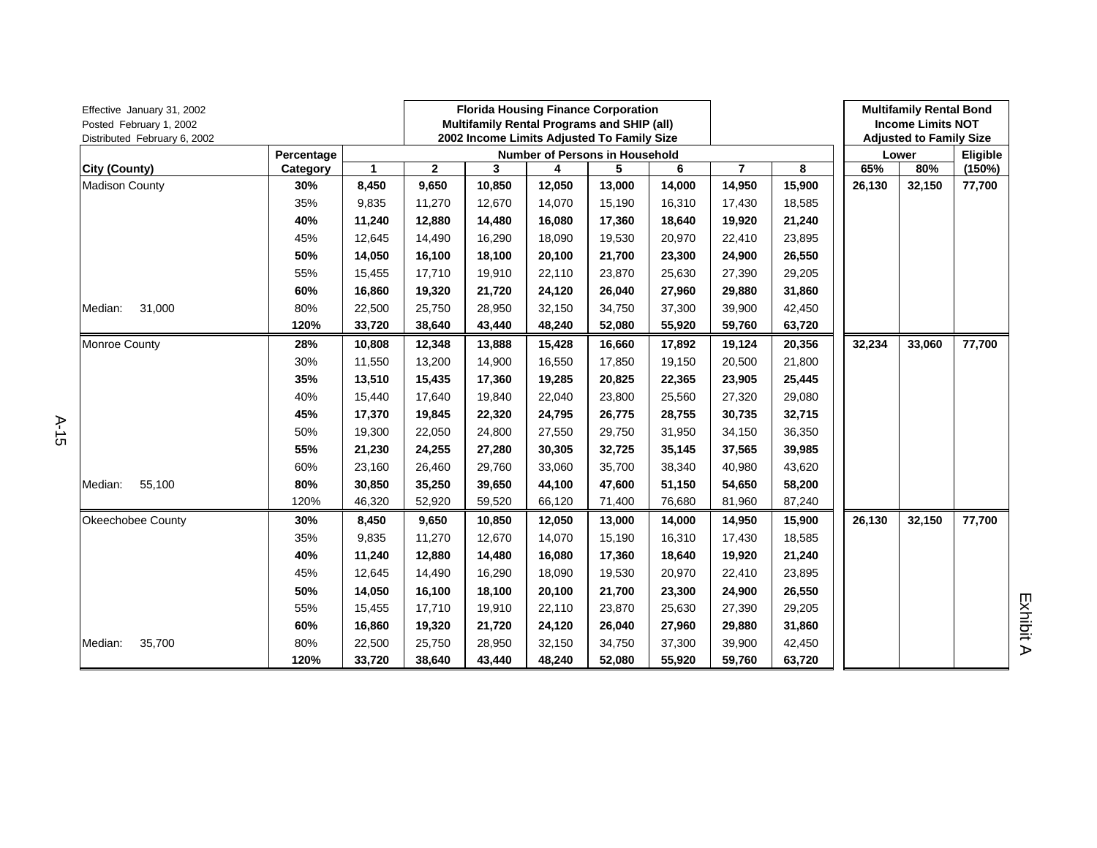| Effective January 31, 2002<br>Posted February 1, 2002<br>Distributed February 6, 2002 |            | <b>Florida Housing Finance Corporation</b><br>Multifamily Rental Programs and SHIP (all)<br>2002 Income Limits Adjusted To Family Size |              |        |        |                                       |        |        | <b>Multifamily Rental Bond</b><br><b>Income Limits NOT</b><br><b>Adjusted to Family Size</b> |        |          |        |
|---------------------------------------------------------------------------------------|------------|----------------------------------------------------------------------------------------------------------------------------------------|--------------|--------|--------|---------------------------------------|--------|--------|----------------------------------------------------------------------------------------------|--------|----------|--------|
|                                                                                       | Percentage |                                                                                                                                        |              |        |        | <b>Number of Persons in Household</b> |        |        |                                                                                              | Lower  | Eligible |        |
| City (County)                                                                         | Category   | 1                                                                                                                                      | $\mathbf{2}$ | 3      | 4      | 5                                     | 6      | 7      | 8                                                                                            | 65%    | 80%      | (150%) |
| <b>Madison County</b>                                                                 | 30%        | 8,450                                                                                                                                  | 9,650        | 10,850 | 12,050 | 13,000                                | 14,000 | 14,950 | 15,900                                                                                       | 26,130 | 32,150   | 77,700 |
|                                                                                       | 35%        | 9,835                                                                                                                                  | 11,270       | 12,670 | 14,070 | 15,190                                | 16,310 | 17,430 | 18,585                                                                                       |        |          |        |
|                                                                                       | 40%        | 11,240                                                                                                                                 | 12,880       | 14,480 | 16,080 | 17,360                                | 18,640 | 19,920 | 21,240                                                                                       |        |          |        |
|                                                                                       | 45%        | 12,645                                                                                                                                 | 14,490       | 16,290 | 18,090 | 19,530                                | 20,970 | 22,410 | 23,895                                                                                       |        |          |        |
|                                                                                       | 50%        | 14,050                                                                                                                                 | 16,100       | 18,100 | 20,100 | 21,700                                | 23,300 | 24,900 | 26,550                                                                                       |        |          |        |
|                                                                                       | 55%        | 15,455                                                                                                                                 | 17,710       | 19,910 | 22,110 | 23,870                                | 25,630 | 27,390 | 29,205                                                                                       |        |          |        |
|                                                                                       | 60%        | 16,860                                                                                                                                 | 19,320       | 21,720 | 24,120 | 26,040                                | 27,960 | 29,880 | 31,860                                                                                       |        |          |        |
| 31,000<br>Median:                                                                     | 80%        | 22,500                                                                                                                                 | 25,750       | 28,950 | 32.150 | 34,750                                | 37,300 | 39,900 | 42,450                                                                                       |        |          |        |
|                                                                                       | 120%       | 33,720                                                                                                                                 | 38,640       | 43,440 | 48,240 | 52,080                                | 55,920 | 59,760 | 63,720                                                                                       |        |          |        |
| Monroe County                                                                         | 28%        | 10,808                                                                                                                                 | 12,348       | 13,888 | 15,428 | 16,660                                | 17,892 | 19,124 | 20,356                                                                                       | 32,234 | 33,060   | 77,700 |
|                                                                                       | 30%        | 11,550                                                                                                                                 | 13,200       | 14,900 | 16,550 | 17,850                                | 19,150 | 20,500 | 21,800                                                                                       |        |          |        |
|                                                                                       | 35%        | 13,510                                                                                                                                 | 15,435       | 17,360 | 19,285 | 20,825                                | 22,365 | 23,905 | 25,445                                                                                       |        |          |        |
|                                                                                       | 40%        | 15,440                                                                                                                                 | 17,640       | 19,840 | 22,040 | 23,800                                | 25,560 | 27,320 | 29,080                                                                                       |        |          |        |
|                                                                                       | 45%        | 17,370                                                                                                                                 | 19,845       | 22,320 | 24,795 | 26,775                                | 28,755 | 30,735 | 32,715                                                                                       |        |          |        |
|                                                                                       | 50%        | 19,300                                                                                                                                 | 22,050       | 24,800 | 27,550 | 29,750                                | 31,950 | 34,150 | 36,350                                                                                       |        |          |        |
|                                                                                       | 55%        | 21,230                                                                                                                                 | 24,255       | 27,280 | 30,305 | 32,725                                | 35,145 | 37,565 | 39,985                                                                                       |        |          |        |
|                                                                                       | 60%        | 23,160                                                                                                                                 | 26,460       | 29,760 | 33,060 | 35,700                                | 38,340 | 40,980 | 43,620                                                                                       |        |          |        |
| 55,100<br>Median:                                                                     | 80%        | 30,850                                                                                                                                 | 35,250       | 39,650 | 44,100 | 47,600                                | 51,150 | 54,650 | 58,200                                                                                       |        |          |        |
|                                                                                       | 120%       | 46,320                                                                                                                                 | 52,920       | 59,520 | 66,120 | 71,400                                | 76,680 | 81,960 | 87,240                                                                                       |        |          |        |
| Okeechobee County                                                                     | 30%        | 8,450                                                                                                                                  | 9,650        | 10,850 | 12,050 | 13,000                                | 14,000 | 14,950 | 15,900                                                                                       | 26,130 | 32,150   | 77,700 |
|                                                                                       | 35%        | 9,835                                                                                                                                  | 11,270       | 12,670 | 14,070 | 15,190                                | 16,310 | 17,430 | 18,585                                                                                       |        |          |        |
|                                                                                       | 40%        | 11,240                                                                                                                                 | 12,880       | 14,480 | 16,080 | 17,360                                | 18,640 | 19,920 | 21,240                                                                                       |        |          |        |
|                                                                                       | 45%        | 12,645                                                                                                                                 | 14,490       | 16,290 | 18,090 | 19,530                                | 20,970 | 22,410 | 23,895                                                                                       |        |          |        |
|                                                                                       | 50%        | 14,050                                                                                                                                 | 16,100       | 18,100 | 20,100 | 21,700                                | 23,300 | 24,900 | 26,550                                                                                       |        |          |        |
|                                                                                       | 55%        | 15,455                                                                                                                                 | 17,710       | 19,910 | 22,110 | 23,870                                | 25,630 | 27,390 | 29,205                                                                                       |        |          |        |
|                                                                                       | 60%        | 16,860                                                                                                                                 | 19,320       | 21,720 | 24,120 | 26,040                                | 27,960 | 29,880 | 31,860                                                                                       |        |          |        |
| 35,700<br>Median:                                                                     | 80%        | 22,500                                                                                                                                 | 25,750       | 28,950 | 32,150 | 34,750                                | 37,300 | 39,900 | 42,450                                                                                       |        |          |        |
|                                                                                       | 120%       | 33,720                                                                                                                                 | 38,640       | 43,440 | 48,240 | 52,080                                | 55,920 | 59,760 | 63,720                                                                                       |        |          |        |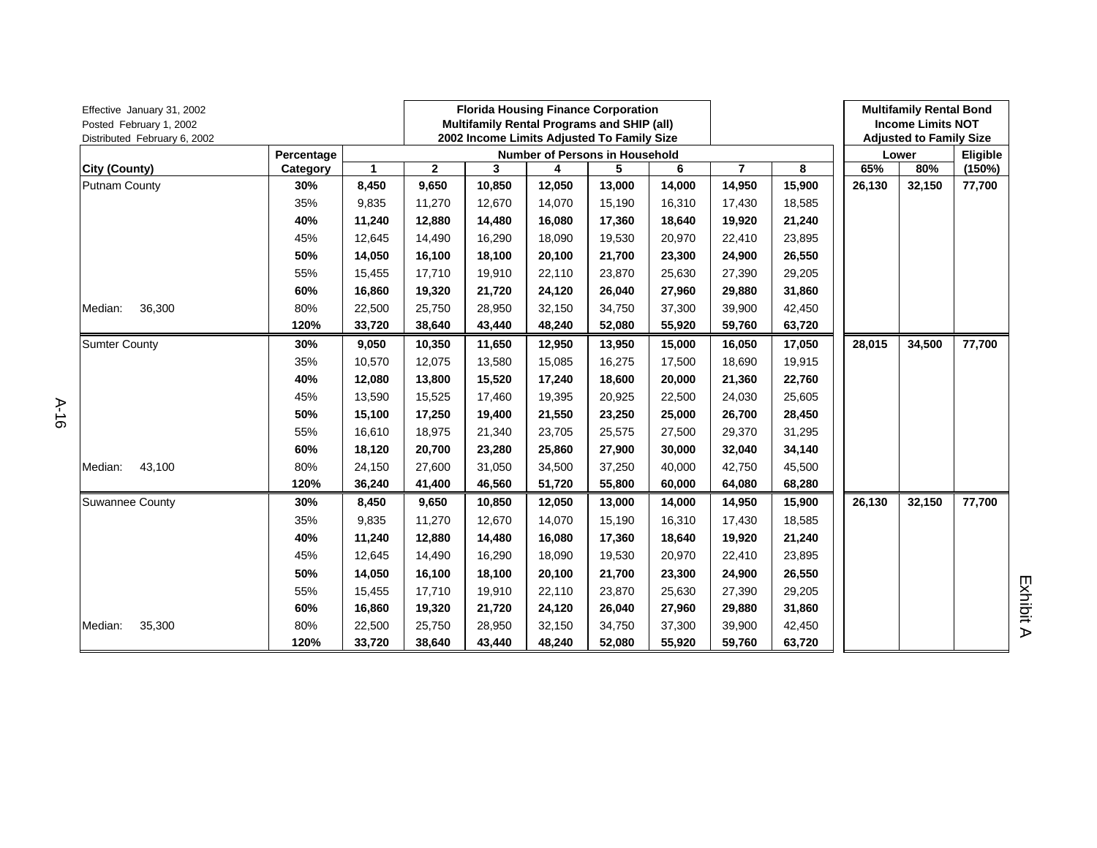| Effective January 31, 2002<br>Posted February 1, 2002<br>Distributed February 6, 2002 |            |              |              | <b>Florida Housing Finance Corporation</b><br>Multifamily Rental Programs and SHIP (all)<br>2002 Income Limits Adjusted To Family Size |          |        |        |                | <b>Multifamily Rental Bond</b><br><b>Income Limits NOT</b><br><b>Adjusted to Family Size</b> |        |        |        |
|---------------------------------------------------------------------------------------|------------|--------------|--------------|----------------------------------------------------------------------------------------------------------------------------------------|----------|--------|--------|----------------|----------------------------------------------------------------------------------------------|--------|--------|--------|
|                                                                                       | Percentage |              |              | Lower                                                                                                                                  | Eligible |        |        |                |                                                                                              |        |        |        |
| City (County)                                                                         | Category   | $\mathbf{1}$ | $\mathbf{2}$ | 3                                                                                                                                      | 4        | 5      | 6      | $\overline{7}$ | 8                                                                                            | 65%    | 80%    | (150%) |
| Putnam County                                                                         | 30%        | 8,450        | 9,650        | 10,850                                                                                                                                 | 12,050   | 13,000 | 14,000 | 14,950         | 15,900                                                                                       | 26,130 | 32,150 | 77,700 |
|                                                                                       | 35%        | 9,835        | 11,270       | 12,670                                                                                                                                 | 14,070   | 15,190 | 16,310 | 17,430         | 18,585                                                                                       |        |        |        |
|                                                                                       | 40%        | 11,240       | 12,880       | 14,480                                                                                                                                 | 16,080   | 17,360 | 18,640 | 19,920         | 21,240                                                                                       |        |        |        |
|                                                                                       | 45%        | 12,645       | 14,490       | 16,290                                                                                                                                 | 18,090   | 19,530 | 20,970 | 22,410         | 23,895                                                                                       |        |        |        |
|                                                                                       | 50%        | 14,050       | 16,100       | 18,100                                                                                                                                 | 20.100   | 21,700 | 23,300 | 24,900         | 26,550                                                                                       |        |        |        |
|                                                                                       | 55%        | 15,455       | 17,710       | 19,910                                                                                                                                 | 22,110   | 23,870 | 25,630 | 27,390         | 29,205                                                                                       |        |        |        |
|                                                                                       | 60%        | 16,860       | 19,320       | 21,720                                                                                                                                 | 24,120   | 26,040 | 27,960 | 29,880         | 31,860                                                                                       |        |        |        |
| 36,300<br>Median:                                                                     | 80%        | 22,500       | 25,750       | 28,950                                                                                                                                 | 32,150   | 34,750 | 37,300 | 39,900         | 42,450                                                                                       |        |        |        |
|                                                                                       | 120%       | 33,720       | 38,640       | 43,440                                                                                                                                 | 48,240   | 52,080 | 55,920 | 59,760         | 63,720                                                                                       |        |        |        |
| <b>Sumter County</b>                                                                  | 30%        | 9,050        | 10,350       | 11,650                                                                                                                                 | 12,950   | 13,950 | 15,000 | 16,050         | 17,050                                                                                       | 28,015 | 34,500 | 77,700 |
|                                                                                       | 35%        | 10,570       | 12,075       | 13,580                                                                                                                                 | 15,085   | 16,275 | 17,500 | 18,690         | 19,915                                                                                       |        |        |        |
|                                                                                       | 40%        | 12,080       | 13,800       | 15,520                                                                                                                                 | 17,240   | 18,600 | 20,000 | 21,360         | 22,760                                                                                       |        |        |        |
|                                                                                       | 45%        | 13,590       | 15,525       | 17,460                                                                                                                                 | 19,395   | 20,925 | 22,500 | 24,030         | 25,605                                                                                       |        |        |        |
|                                                                                       | 50%        | 15,100       | 17,250       | 19,400                                                                                                                                 | 21,550   | 23,250 | 25,000 | 26,700         | 28,450                                                                                       |        |        |        |
|                                                                                       | 55%        | 16,610       | 18,975       | 21,340                                                                                                                                 | 23,705   | 25,575 | 27,500 | 29,370         | 31,295                                                                                       |        |        |        |
|                                                                                       | 60%        | 18,120       | 20,700       | 23,280                                                                                                                                 | 25,860   | 27,900 | 30,000 | 32,040         | 34,140                                                                                       |        |        |        |
| 43,100<br>Median:                                                                     | 80%        | 24,150       | 27,600       | 31,050                                                                                                                                 | 34,500   | 37,250 | 40,000 | 42,750         | 45,500                                                                                       |        |        |        |
|                                                                                       | 120%       | 36,240       | 41,400       | 46,560                                                                                                                                 | 51,720   | 55,800 | 60,000 | 64,080         | 68,280                                                                                       |        |        |        |
| <b>Suwannee County</b>                                                                | 30%        | 8,450        | 9,650        | 10,850                                                                                                                                 | 12,050   | 13,000 | 14,000 | 14,950         | 15,900                                                                                       | 26,130 | 32,150 | 77,700 |
|                                                                                       | 35%        | 9,835        | 11,270       | 12,670                                                                                                                                 | 14,070   | 15,190 | 16,310 | 17,430         | 18,585                                                                                       |        |        |        |
|                                                                                       | 40%        | 11,240       | 12,880       | 14,480                                                                                                                                 | 16,080   | 17,360 | 18,640 | 19,920         | 21,240                                                                                       |        |        |        |
|                                                                                       | 45%        | 12,645       | 14,490       | 16,290                                                                                                                                 | 18,090   | 19,530 | 20,970 | 22,410         | 23,895                                                                                       |        |        |        |
|                                                                                       | 50%        | 14,050       | 16,100       | 18,100                                                                                                                                 | 20,100   | 21,700 | 23,300 | 24,900         | 26,550                                                                                       |        |        |        |
|                                                                                       | 55%        | 15,455       | 17,710       | 19,910                                                                                                                                 | 22,110   | 23,870 | 25,630 | 27,390         | 29,205                                                                                       |        |        |        |
|                                                                                       | 60%        | 16,860       | 19,320       | 21,720                                                                                                                                 | 24,120   | 26,040 | 27,960 | 29,880         | 31,860                                                                                       |        |        |        |
| Median:<br>35,300                                                                     | 80%        | 22,500       | 25,750       | 28,950                                                                                                                                 | 32,150   | 34,750 | 37,300 | 39,900         | 42,450                                                                                       |        |        |        |
|                                                                                       | 120%       | 33,720       | 38,640       | 43,440                                                                                                                                 | 48,240   | 52,080 | 55,920 | 59,760         | 63,720                                                                                       |        |        |        |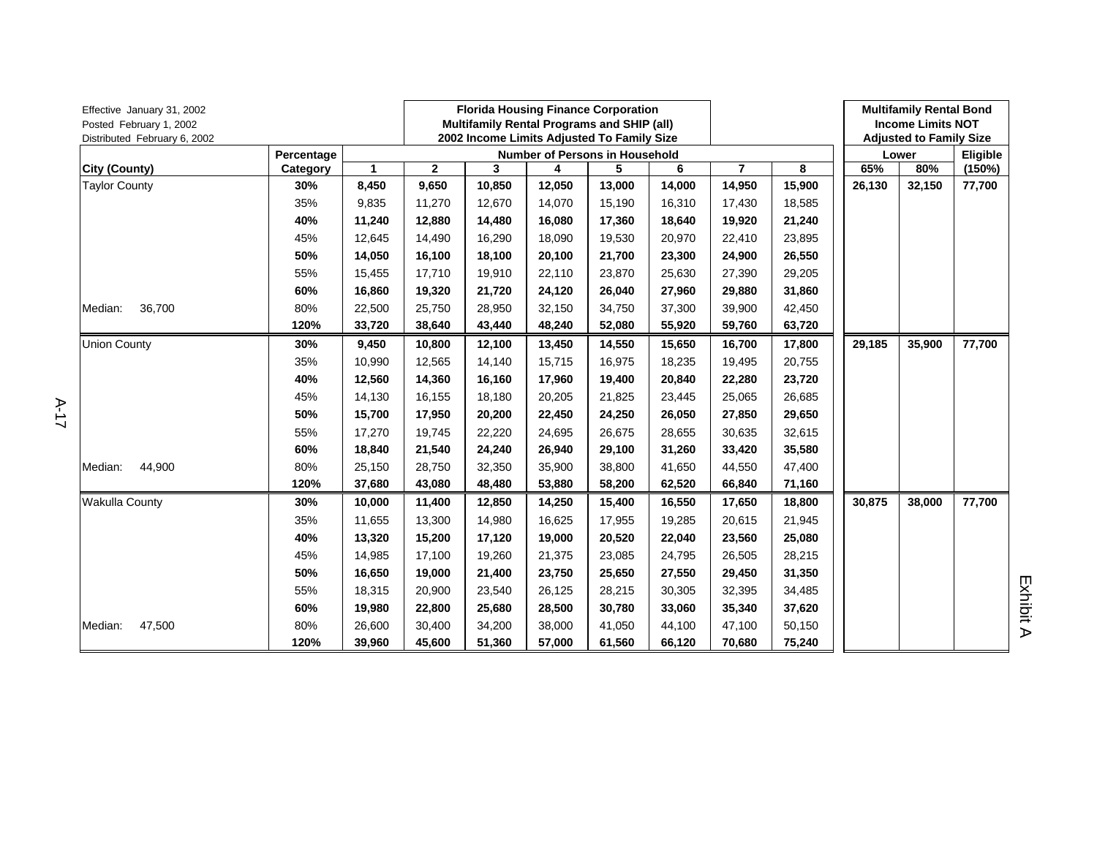| Effective January 31, 2002<br>Posted February 1, 2002<br>Distributed February 6, 2002 |            | <b>Florida Housing Finance Corporation</b><br>Multifamily Rental Programs and SHIP (all)<br>2002 Income Limits Adjusted To Family Size |              |        |        |        |        |                | <b>Multifamily Rental Bond</b><br><b>Income Limits NOT</b><br><b>Adjusted to Family Size</b> |        |        |        |  |
|---------------------------------------------------------------------------------------|------------|----------------------------------------------------------------------------------------------------------------------------------------|--------------|--------|--------|--------|--------|----------------|----------------------------------------------------------------------------------------------|--------|--------|--------|--|
|                                                                                       | Percentage | <b>Number of Persons in Household</b>                                                                                                  |              |        |        |        |        |                |                                                                                              |        | Lower  |        |  |
| City (County)                                                                         | Category   | $\mathbf{1}$                                                                                                                           | $\mathbf{2}$ | 3      | 4      | 5      | 6      | $\overline{7}$ | 8                                                                                            | 65%    | 80%    | (150%) |  |
| <b>Taylor County</b>                                                                  | 30%        | 8,450                                                                                                                                  | 9,650        | 10,850 | 12,050 | 13,000 | 14,000 | 14,950         | 15,900                                                                                       | 26,130 | 32,150 | 77,700 |  |
|                                                                                       | 35%        | 9,835                                                                                                                                  | 11,270       | 12,670 | 14,070 | 15,190 | 16,310 | 17,430         | 18,585                                                                                       |        |        |        |  |
|                                                                                       | 40%        | 11,240                                                                                                                                 | 12,880       | 14,480 | 16,080 | 17,360 | 18,640 | 19,920         | 21,240                                                                                       |        |        |        |  |
|                                                                                       | 45%        | 12,645                                                                                                                                 | 14,490       | 16,290 | 18,090 | 19,530 | 20,970 | 22,410         | 23,895                                                                                       |        |        |        |  |
|                                                                                       | 50%        | 14,050                                                                                                                                 | 16,100       | 18,100 | 20,100 | 21,700 | 23,300 | 24,900         | 26,550                                                                                       |        |        |        |  |
|                                                                                       | 55%        | 15,455                                                                                                                                 | 17,710       | 19,910 | 22,110 | 23,870 | 25,630 | 27,390         | 29,205                                                                                       |        |        |        |  |
|                                                                                       | 60%        | 16,860                                                                                                                                 | 19,320       | 21,720 | 24,120 | 26,040 | 27,960 | 29,880         | 31,860                                                                                       |        |        |        |  |
| 36,700<br>Median:                                                                     | 80%        | 22,500                                                                                                                                 | 25,750       | 28,950 | 32,150 | 34,750 | 37,300 | 39,900         | 42,450                                                                                       |        |        |        |  |
|                                                                                       | 120%       | 33,720                                                                                                                                 | 38,640       | 43,440 | 48,240 | 52,080 | 55,920 | 59,760         | 63,720                                                                                       |        |        |        |  |
| <b>Union County</b>                                                                   | 30%        | 9,450                                                                                                                                  | 10,800       | 12,100 | 13,450 | 14,550 | 15,650 | 16,700         | 17,800                                                                                       | 29,185 | 35,900 | 77,700 |  |
|                                                                                       | 35%        | 10,990                                                                                                                                 | 12,565       | 14,140 | 15,715 | 16,975 | 18,235 | 19,495         | 20,755                                                                                       |        |        |        |  |
|                                                                                       | 40%        | 12,560                                                                                                                                 | 14,360       | 16,160 | 17,960 | 19,400 | 20,840 | 22,280         | 23,720                                                                                       |        |        |        |  |
|                                                                                       | 45%        | 14,130                                                                                                                                 | 16,155       | 18,180 | 20,205 | 21,825 | 23,445 | 25,065         | 26,685                                                                                       |        |        |        |  |
|                                                                                       | 50%        | 15,700                                                                                                                                 | 17,950       | 20,200 | 22,450 | 24,250 | 26,050 | 27,850         | 29,650                                                                                       |        |        |        |  |
|                                                                                       | 55%        | 17,270                                                                                                                                 | 19,745       | 22,220 | 24,695 | 26,675 | 28,655 | 30,635         | 32,615                                                                                       |        |        |        |  |
|                                                                                       | 60%        | 18,840                                                                                                                                 | 21,540       | 24,240 | 26,940 | 29,100 | 31,260 | 33,420         | 35,580                                                                                       |        |        |        |  |
| 44,900<br>Median:                                                                     | 80%        | 25,150                                                                                                                                 | 28,750       | 32,350 | 35,900 | 38,800 | 41,650 | 44,550         | 47,400                                                                                       |        |        |        |  |
|                                                                                       | 120%       | 37,680                                                                                                                                 | 43,080       | 48,480 | 53,880 | 58,200 | 62,520 | 66,840         | 71,160                                                                                       |        |        |        |  |
| <b>Wakulla County</b>                                                                 | 30%        | 10,000                                                                                                                                 | 11,400       | 12,850 | 14,250 | 15,400 | 16,550 | 17,650         | 18,800                                                                                       | 30,875 | 38,000 | 77,700 |  |
|                                                                                       | 35%        | 11,655                                                                                                                                 | 13,300       | 14,980 | 16,625 | 17,955 | 19,285 | 20,615         | 21,945                                                                                       |        |        |        |  |
|                                                                                       | 40%        | 13,320                                                                                                                                 | 15,200       | 17,120 | 19,000 | 20,520 | 22,040 | 23,560         | 25,080                                                                                       |        |        |        |  |
|                                                                                       | 45%        | 14,985                                                                                                                                 | 17,100       | 19,260 | 21,375 | 23,085 | 24,795 | 26,505         | 28,215                                                                                       |        |        |        |  |
|                                                                                       | 50%        | 16,650                                                                                                                                 | 19,000       | 21,400 | 23,750 | 25,650 | 27,550 | 29,450         | 31,350                                                                                       |        |        |        |  |
|                                                                                       | 55%        | 18,315                                                                                                                                 | 20,900       | 23,540 | 26,125 | 28,215 | 30,305 | 32,395         | 34,485                                                                                       |        |        |        |  |
|                                                                                       | 60%        | 19,980                                                                                                                                 | 22,800       | 25,680 | 28,500 | 30,780 | 33,060 | 35,340         | 37,620                                                                                       |        |        |        |  |
| Median:<br>47,500                                                                     | 80%        | 26,600                                                                                                                                 | 30,400       | 34,200 | 38,000 | 41,050 | 44,100 | 47,100         | 50,150                                                                                       |        |        |        |  |
|                                                                                       | 120%       | 39,960                                                                                                                                 | 45,600       | 51,360 | 57,000 | 61,560 | 66,120 | 70,680         | 75,240                                                                                       |        |        |        |  |